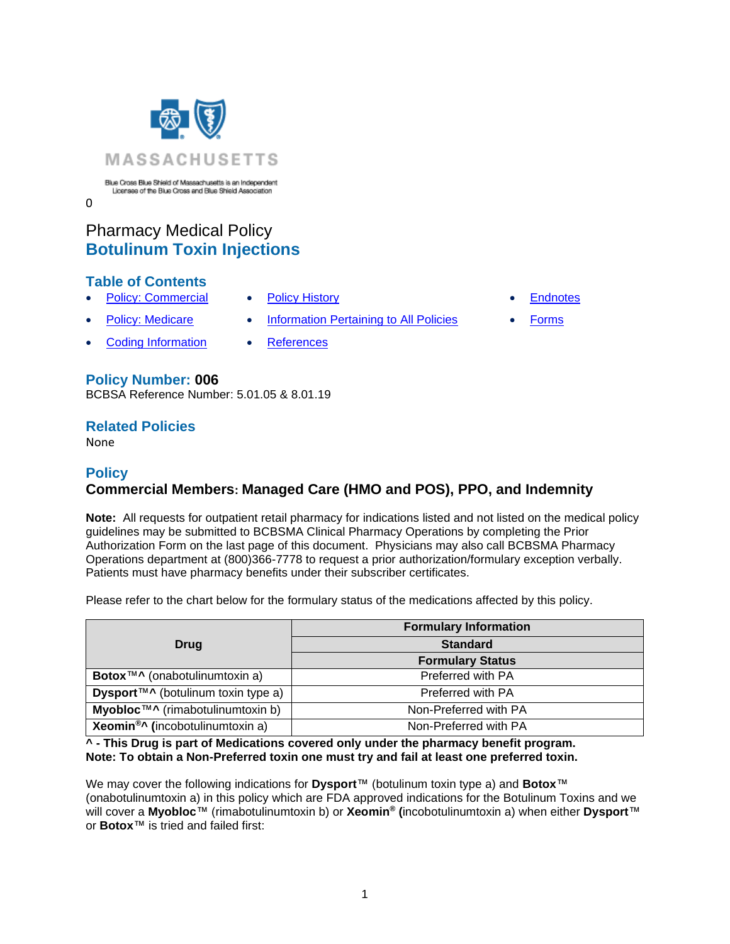

 $\Omega$ 

# Pharmacy Medical Policy **Botulinum Toxin Injections**

## **Table of Contents**

- [Policy: Commercial](#page-0-0) [Policy History](#page-10-0)  **[Endnotes](#page-17-0)** 
	- **[Policy: Medicare](#page-0-0) [Information Pertaining to All Policies](#page-4-0) [Forms](http://www.bluecrossma.org/medical-policies/sites/g/files/csphws2091/files/acquiadam-assets/023%20E%20Form%20medication%20prior%20auth%20instruction%20prn.pdf)**
- **[Coding Information](#page-4-1) [References](#page-12-0)**
- 
- 
- 

## **Policy Number: 006**

BCBSA Reference Number: 5.01.05 & 8.01.19

## **Related Policies**

<span id="page-0-0"></span>None

## **Policy Commercial Members: Managed Care (HMO and POS), PPO, and Indemnity**

**Note:** All requests for outpatient retail pharmacy for indications listed and not listed on the medical policy guidelines may be submitted to BCBSMA Clinical Pharmacy Operations by completing the Prior Authorization Form on the last page of this document. Physicians may also call BCBSMA Pharmacy Operations department at (800)366-7778 to request a prior authorization/formulary exception verbally. Patients must have pharmacy benefits under their subscriber certificates.

Please refer to the chart below for the formulary status of the medications affected by this policy.

|                                                                           | <b>Formulary Information</b> |
|---------------------------------------------------------------------------|------------------------------|
| Drug                                                                      | <b>Standard</b>              |
|                                                                           | <b>Formulary Status</b>      |
| Botox <sup>™^</sup> (onabotulinumtoxin a)                                 | Preferred with PA            |
| <b>Dysport</b> <sup><math>TM \wedge</math></sup> (botulinum toxin type a) | Preferred with PA            |
| Myobloc™^ (rimabotulinumtoxin b)                                          | Non-Preferred with PA        |
| <b>Xeomin<sup>®</sup>^</b> (incobotulinumtoxin a)                         | Non-Preferred with PA        |

**^ - This Drug is part of Medications covered only under the pharmacy benefit program. Note: To obtain a Non-Preferred toxin one must try and fail at least one preferred toxin.** 

We may cover the following indications for **Dysport**™ (botulinum toxin type a) and **Botox**™ (onabotulinumtoxin a) in this policy which are FDA approved indications for the Botulinum Toxins and we will cover a **Myobloc**™ (rimabotulinumtoxin b) or **Xeomin® (**incobotulinumtoxin a) when either **Dysport**™ or **Botox**™ is tried and failed first: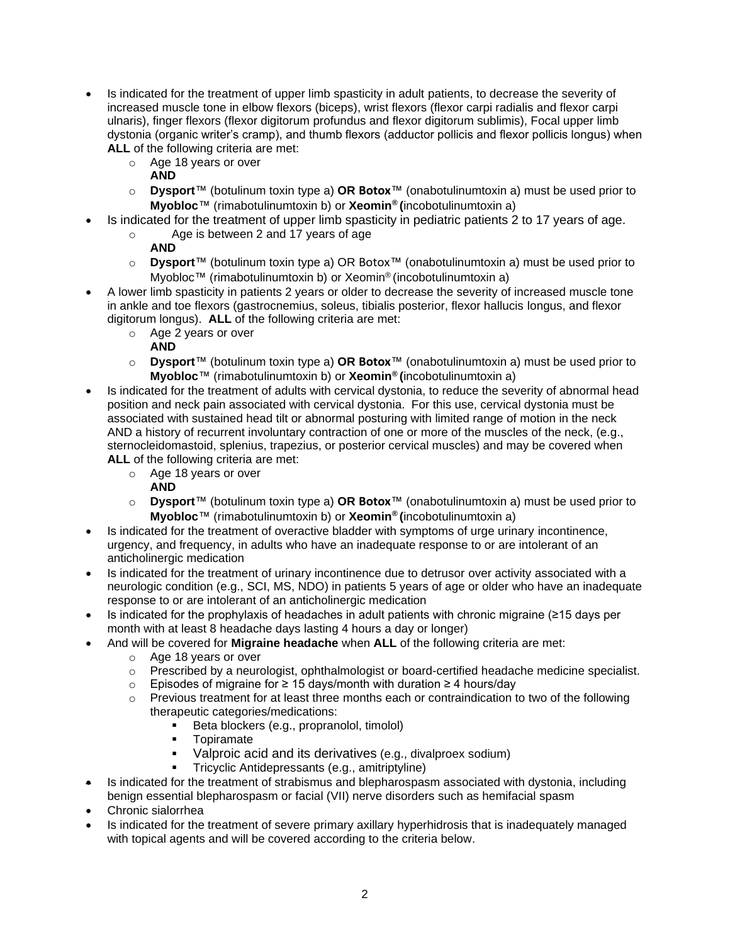- Is indicated for the treatment of upper limb spasticity in adult patients, to decrease the severity of increased muscle tone in elbow flexors (biceps), wrist flexors (flexor carpi radialis and flexor carpi ulnaris), finger flexors (flexor digitorum profundus and flexor digitorum sublimis), Focal upper limb dystonia (organic writer's cramp), and thumb flexors (adductor pollicis and flexor pollicis longus) when **ALL** of the following criteria are met:
	- o Age 18 years or over
		- **AND**
	- o **Dysport**™ (botulinum toxin type a) **OR Botox**™ (onabotulinumtoxin a) must be used prior to **Myobloc**™ (rimabotulinumtoxin b) or **Xeomin® (**incobotulinumtoxin a)
- Is indicated for the treatment of upper limb spasticity in pediatric patients 2 to 17 years of age.
	- o Age is between 2 and 17 years of age
		- **AND**
	- o **Dysport**™ (botulinum toxin type a) OR Botox™ (onabotulinumtoxin a) must be used prior to Myobloc™ (rimabotulinumtoxin b) or Xeomin<sup>®</sup> (incobotulinumtoxin a)
- A lower limb spasticity in patients 2 years or older to decrease the severity of increased muscle tone in ankle and toe flexors (gastrocnemius, soleus, tibialis posterior, flexor hallucis longus, and flexor digitorum longus). **ALL** of the following criteria are met:
	- o Age 2 years or over
		- **AND**
	- o **Dysport**™ (botulinum toxin type a) **OR Botox**™ (onabotulinumtoxin a) must be used prior to **Myobloc**™ (rimabotulinumtoxin b) or **Xeomin® (**incobotulinumtoxin a)
- Is indicated for the treatment of adults with cervical dystonia, to reduce the severity of abnormal head position and neck pain associated with cervical dystonia. For this use, cervical dystonia must be associated with sustained head tilt or abnormal posturing with limited range of motion in the neck AND a history of recurrent involuntary contraction of one or more of the muscles of the neck, (e.g., sternocleidomastoid, splenius, trapezius, or posterior cervical muscles) and may be covered when **ALL** of the following criteria are met:
	- o Age 18 years or over
		- **AND**
	- o **Dysport**™ (botulinum toxin type a) **OR Botox**™ (onabotulinumtoxin a) must be used prior to **Myobloc**™ (rimabotulinumtoxin b) or **Xeomin® (**incobotulinumtoxin a)
- Is indicated for the treatment of overactive bladder with symptoms of urge urinary incontinence, urgency, and frequency, in adults who have an inadequate response to or are intolerant of an anticholinergic medication
- Is indicated for the treatment of urinary incontinence due to detrusor over activity associated with a neurologic condition (e.g., SCI, MS, NDO) in patients 5 years of age or older who have an inadequate response to or are intolerant of an anticholinergic medication
- Is indicated for the prophylaxis of headaches in adult patients with chronic migraine (≥15 days per month with at least 8 headache days lasting 4 hours a day or longer)
- And will be covered for **Migraine headache** when **ALL** of the following criteria are met:
	- o Age 18 years or over
	- $\circ$  Prescribed by a neurologist, ophthalmologist or board-certified headache medicine specialist.
	- o Episodes of migraine for ≥ 15 days/month with duration ≥ 4 hours/day
	- o Previous treatment for at least three months each or contraindication to two of the following therapeutic categories/medications:
		- Beta blockers (e.g., propranolol, timolol)
		- Topiramate
		- Valproic acid and its derivatives (e.g., divalproex sodium)
		- Tricyclic Antidepressants (e.g., amitriptyline)
- Is indicated for the treatment of strabismus and blepharospasm associated with dystonia, including benign essential blepharospasm or facial (VII) nerve disorders such as hemifacial spasm
- Chronic sialorrhea
- Is indicated for the treatment of severe primary axillary hyperhidrosis that is inadequately managed with topical agents and will be covered according to the criteria below.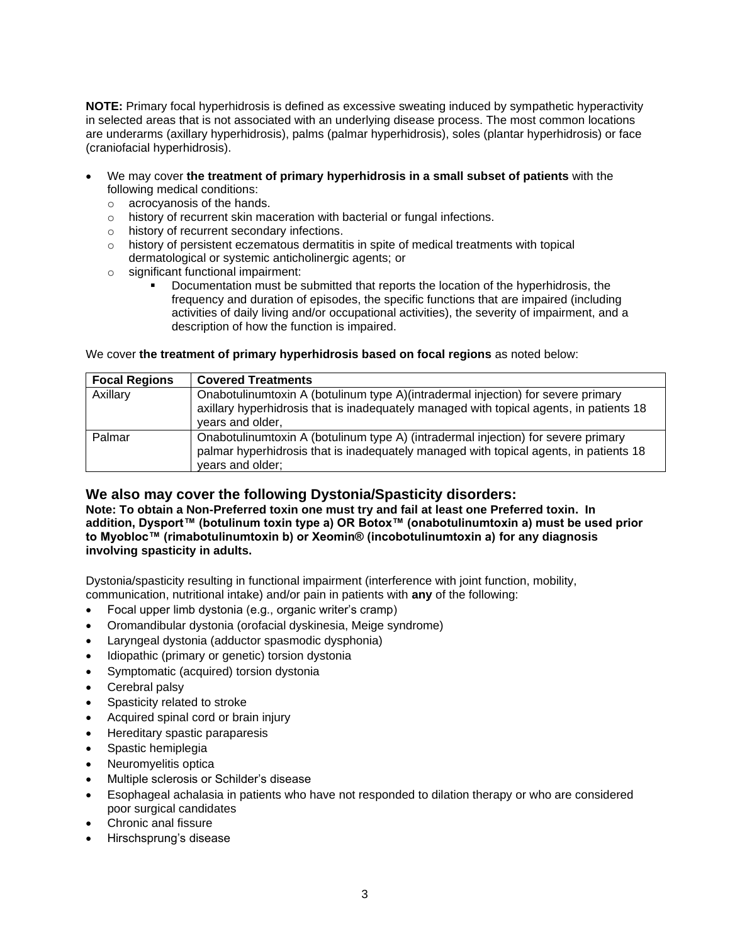**NOTE:** Primary focal hyperhidrosis is defined as excessive sweating induced by sympathetic hyperactivity in selected areas that is not associated with an underlying disease process. The most common locations are underarms (axillary hyperhidrosis), palms (palmar hyperhidrosis), soles (plantar hyperhidrosis) or face (craniofacial hyperhidrosis).

- We may cover **the treatment of primary hyperhidrosis in a small subset of patients** with the following medical conditions:
	- o acrocyanosis of the hands.
	- o history of recurrent skin maceration with bacterial or fungal infections.
	- o history of recurrent secondary infections.
	- $\circ$  history of persistent eczematous dermatitis in spite of medical treatments with topical dermatological or systemic anticholinergic agents; or
	- o significant functional impairment:
		- Documentation must be submitted that reports the location of the hyperhidrosis, the frequency and duration of episodes, the specific functions that are impaired (including activities of daily living and/or occupational activities), the severity of impairment, and a description of how the function is impaired.

We cover **the treatment of primary hyperhidrosis based on focal regions** as noted below:

| <b>Focal Regions</b> | <b>Covered Treatments</b>                                                                                                                                                                       |
|----------------------|-------------------------------------------------------------------------------------------------------------------------------------------------------------------------------------------------|
| Axillary             | Onabotulinumtoxin A (botulinum type A)(intradermal injection) for severe primary<br>axillary hyperhidrosis that is inadequately managed with topical agents, in patients 18<br>years and older, |
| Palmar               | Onabotulinumtoxin A (botulinum type A) (intradermal injection) for severe primary<br>palmar hyperhidrosis that is inadequately managed with topical agents, in patients 18<br>years and older;  |

#### **We also may cover the following Dystonia/Spasticity disorders:**

**Note: To obtain a Non-Preferred toxin one must try and fail at least one Preferred toxin. In addition, Dysport™ (botulinum toxin type a) OR Botox™ (onabotulinumtoxin a) must be used prior to Myobloc™ (rimabotulinumtoxin b) or Xeomin® (incobotulinumtoxin a) for any diagnosis involving spasticity in adults.**

Dystonia/spasticity resulting in functional impairment (interference with joint function, mobility, communication, nutritional intake) and/or pain in patients with **any** of the following:

- Focal upper limb dystonia (e.g., organic writer's cramp)
- Oromandibular dystonia (orofacial dyskinesia, Meige syndrome)
- Laryngeal dystonia (adductor spasmodic dysphonia)
- Idiopathic (primary or genetic) torsion dystonia
- Symptomatic (acquired) torsion dystonia
- Cerebral palsy
- Spasticity related to stroke
- Acquired spinal cord or brain injury
- Hereditary spastic paraparesis
- Spastic hemiplegia
- Neuromyelitis optica
- Multiple sclerosis or Schilder's disease
- Esophageal achalasia in patients who have not responded to dilation therapy or who are considered poor surgical candidates
- Chronic anal fissure
- Hirschsprung's disease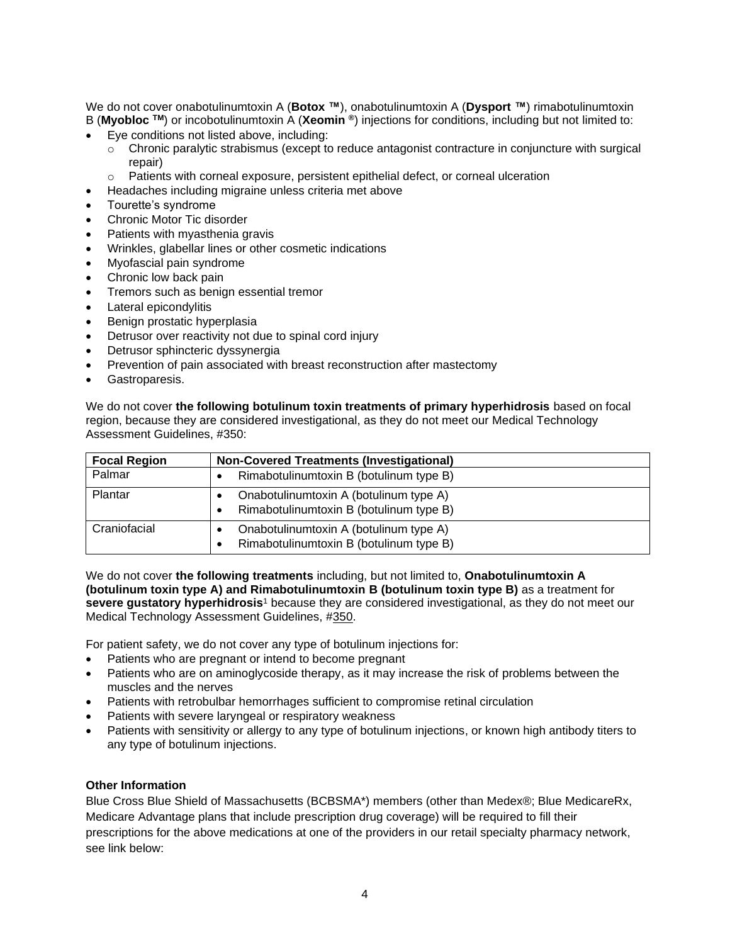We do not cover onabotulinumtoxin A (**Botox ™**), onabotulinumtoxin A (**Dysport ™**) rimabotulinumtoxin B (**Myobloc TM**) or incobotulinumtoxin A (**Xeomin ®**) injections for conditions, including but not limited to:

- Eye conditions not listed above, including:
	- $\circ$  Chronic paralytic strabismus (except to reduce antagonist contracture in conjuncture with surgical repair)
	- $\circ$  Patients with corneal exposure, persistent epithelial defect, or corneal ulceration
- Headaches including migraine unless criteria met above
- Tourette's syndrome
- Chronic Motor Tic disorder
- Patients with myasthenia gravis
- Wrinkles, glabellar lines or other cosmetic indications
- Myofascial pain syndrome
- Chronic low back pain
- Tremors such as benign essential tremor
- Lateral epicondylitis
- Benign prostatic hyperplasia
- Detrusor over reactivity not due to spinal cord injury
- Detrusor sphincteric dyssynergia
- Prevention of pain associated with breast reconstruction after mastectomy
- Gastroparesis.

We do not cover **the following botulinum toxin treatments of primary hyperhidrosis** based on focal region, because they are considered investigational, as they do not meet our Medical Technology Assessment Guidelines, #350:

| <b>Focal Region</b> | <b>Non-Covered Treatments (Investigational)</b>                                                |
|---------------------|------------------------------------------------------------------------------------------------|
| Palmar              | Rimabotulinumtoxin B (botulinum type B)                                                        |
| Plantar             | Onabotulinumtoxin A (botulinum type A)<br>Rimabotulinumtoxin B (botulinum type B)<br>$\bullet$ |
| Craniofacial        | Onabotulinumtoxin A (botulinum type A)<br>Rimabotulinumtoxin B (botulinum type B)<br>$\bullet$ |

We do not cover **the following treatments** including, but not limited to, **Onabotulinumtoxin A (botulinum toxin type A) and Rimabotulinumtoxin B (botulinum toxin type B)** as a treatment for **severe gustatory hyperhidrosis**<sup>1</sup> because they are considered investigational, as they do not meet our Medical Technology Assessment Guidelines, [#350.](http://www.bluecrossma.org/medical-policies/sites/g/files/csphws2091/files/acquiadam-assets/350%20Medical%20Technology%20Assessment%20Guidelines%20prn.pdf)

For patient safety, we do not cover any type of botulinum injections for:

- Patients who are pregnant or intend to become pregnant
- Patients who are on aminoglycoside therapy, as it may increase the risk of problems between the muscles and the nerves
- Patients with retrobulbar hemorrhages sufficient to compromise retinal circulation
- Patients with severe laryngeal or respiratory weakness
- Patients with sensitivity or allergy to any type of botulinum injections, or known high antibody titers to any type of botulinum injections.

#### **Other Information**

Blue Cross Blue Shield of Massachusetts (BCBSMA\*) members (other than Medex®; Blue MedicareRx, Medicare Advantage plans that include prescription drug coverage) will be required to fill their prescriptions for the above medications at one of the providers in our retail specialty pharmacy network, see link below: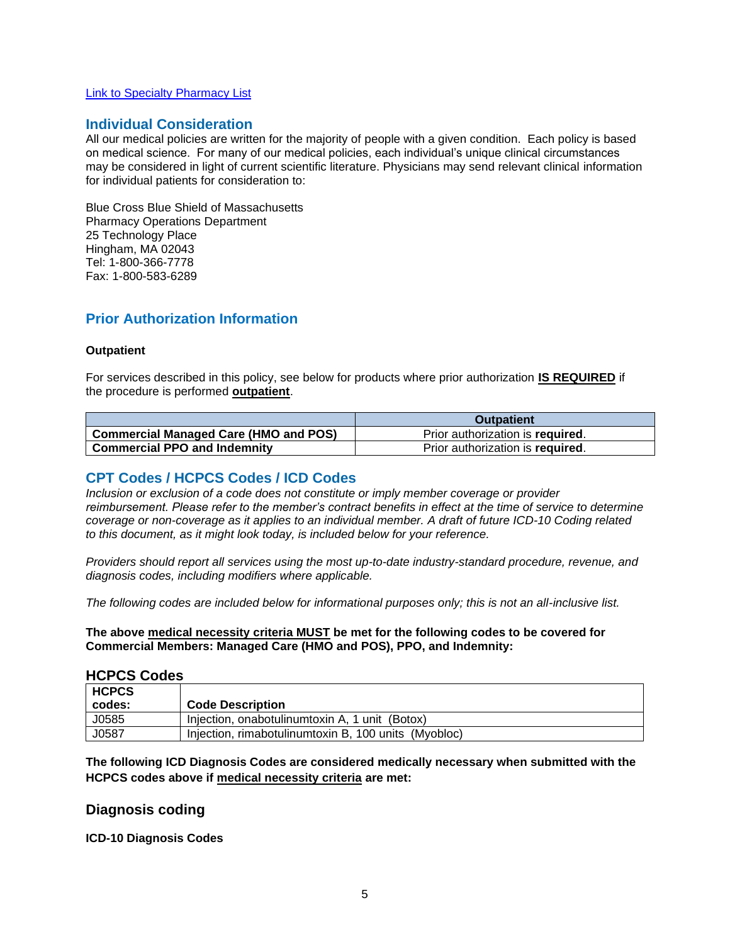#### [Link to Specialty Pharmacy List](https://www.bluecrossma.org/medical-policies/sites/g/files/csphws2091/files/acquiadam-assets/051%20Pharmacy%20Specialty%20List%20prn.pdf)

#### <span id="page-4-0"></span>**Individual Consideration**

All our medical policies are written for the majority of people with a given condition. Each policy is based on medical science. For many of our medical policies, each individual's unique clinical circumstances may be considered in light of current scientific literature. Physicians may send relevant clinical information for individual patients for consideration to:

Blue Cross Blue Shield of Massachusetts Pharmacy Operations Department 25 Technology Place Hingham, MA 02043 Tel: 1-800-366-7778 Fax: 1-800-583-6289

### **Prior Authorization Information**

#### **Outpatient**

For services described in this policy, see below for products where prior authorization **IS REQUIRED** if the procedure is performed **outpatient**.

|                                              | <b>Outpatient</b>                |
|----------------------------------------------|----------------------------------|
| <b>Commercial Managed Care (HMO and POS)</b> | Prior authorization is required. |
| <b>Commercial PPO and Indemnity</b>          | Prior authorization is required. |

### <span id="page-4-1"></span>**CPT Codes / HCPCS Codes / ICD Codes**

*Inclusion or exclusion of a code does not constitute or imply member coverage or provider reimbursement. Please refer to the member's contract benefits in effect at the time of service to determine coverage or non-coverage as it applies to an individual member. A draft of future ICD-10 Coding related to this document, as it might look today, is included below for your reference.*

*Providers should report all services using the most up-to-date industry-standard procedure, revenue, and diagnosis codes, including modifiers where applicable.*

*The following codes are included below for informational purposes only; this is not an all-inclusive list.*

**The above medical necessity criteria MUST be met for the following codes to be covered for Commercial Members: Managed Care (HMO and POS), PPO, and Indemnity:**

#### **HCPCS Codes**

| <b>HCPCS</b> |                                                      |
|--------------|------------------------------------------------------|
| codes:       | <b>Code Description</b>                              |
| J0585        | Injection, onabotulinum toxin A, 1 unit<br>(Botox)   |
| J0587        | Injection, rimabotulinumtoxin B, 100 units (Myobloc) |

**The following ICD Diagnosis Codes are considered medically necessary when submitted with the HCPCS codes above if medical necessity criteria are met:**

#### **Diagnosis coding**

**ICD-10 Diagnosis Codes**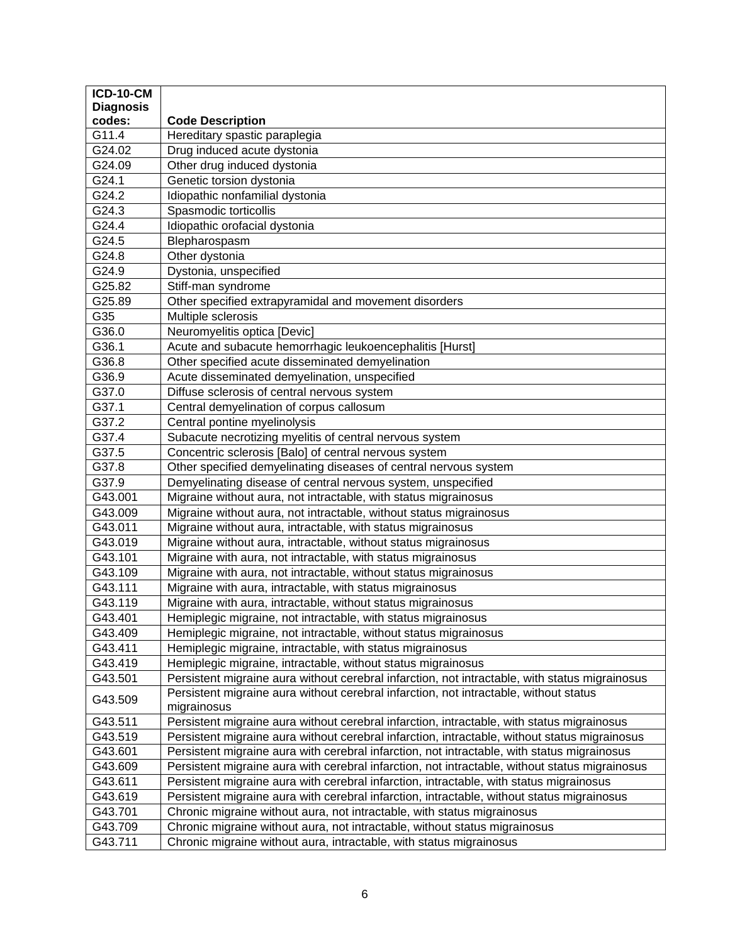| <b>ICD-10-CM</b> |                                                                                                      |
|------------------|------------------------------------------------------------------------------------------------------|
| <b>Diagnosis</b> |                                                                                                      |
| codes:           | <b>Code Description</b>                                                                              |
| G11.4            | Hereditary spastic paraplegia                                                                        |
| G24.02           | Drug induced acute dystonia                                                                          |
| G24.09           | Other drug induced dystonia                                                                          |
| G24.1            | Genetic torsion dystonia                                                                             |
| G24.2            | Idiopathic nonfamilial dystonia                                                                      |
| G24.3            | Spasmodic torticollis                                                                                |
| G24.4            | Idiopathic orofacial dystonia                                                                        |
| G24.5            | Blepharospasm                                                                                        |
| G24.8            | Other dystonia                                                                                       |
| G24.9            | Dystonia, unspecified                                                                                |
| G25.82           | Stiff-man syndrome                                                                                   |
| G25.89           | Other specified extrapyramidal and movement disorders                                                |
| G35              | Multiple sclerosis                                                                                   |
| G36.0            | Neuromyelitis optica [Devic]                                                                         |
| G36.1            | Acute and subacute hemorrhagic leukoencephalitis [Hurst]                                             |
| G36.8            | Other specified acute disseminated demyelination                                                     |
| G36.9            | Acute disseminated demyelination, unspecified                                                        |
| G37.0            | Diffuse sclerosis of central nervous system                                                          |
| G37.1            | Central demyelination of corpus callosum                                                             |
| G37.2            | Central pontine myelinolysis                                                                         |
| G37.4            | Subacute necrotizing myelitis of central nervous system                                              |
| G37.5            | Concentric sclerosis [Balo] of central nervous system                                                |
| G37.8            | Other specified demyelinating diseases of central nervous system                                     |
| G37.9            | Demyelinating disease of central nervous system, unspecified                                         |
| G43.001          | Migraine without aura, not intractable, with status migrainosus                                      |
| G43.009          | Migraine without aura, not intractable, without status migrainosus                                   |
| G43.011          | Migraine without aura, intractable, with status migrainosus                                          |
| G43.019          | Migraine without aura, intractable, without status migrainosus                                       |
| G43.101          | Migraine with aura, not intractable, with status migrainosus                                         |
| G43.109          | Migraine with aura, not intractable, without status migrainosus                                      |
| G43.111          | Migraine with aura, intractable, with status migrainosus                                             |
| G43.119          | Migraine with aura, intractable, without status migrainosus                                          |
| G43.401          | Hemiplegic migraine, not intractable, with status migrainosus                                        |
| G43.409          | Hemiplegic migraine, not intractable, without status migrainosus                                     |
| G43.411          | Hemiplegic migraine, intractable, with status migrainosus                                            |
| G43.419          | Hemiplegic migraine, intractable, without status migrainosus                                         |
| G43.501          | Persistent migraine aura without cerebral infarction, not intractable, with status migrainosus       |
| G43.509          | Persistent migraine aura without cerebral infarction, not intractable, without status<br>migrainosus |
| G43.511          | Persistent migraine aura without cerebral infarction, intractable, with status migrainosus           |
| G43.519          | Persistent migraine aura without cerebral infarction, intractable, without status migrainosus        |
| G43.601          | Persistent migraine aura with cerebral infarction, not intractable, with status migrainosus          |
| G43.609          | Persistent migraine aura with cerebral infarction, not intractable, without status migrainosus       |
| G43.611          | Persistent migraine aura with cerebral infarction, intractable, with status migrainosus              |
| G43.619          | Persistent migraine aura with cerebral infarction, intractable, without status migrainosus           |
| G43.701          | Chronic migraine without aura, not intractable, with status migrainosus                              |
| G43.709          | Chronic migraine without aura, not intractable, without status migrainosus                           |
| G43.711          | Chronic migraine without aura, intractable, with status migrainosus                                  |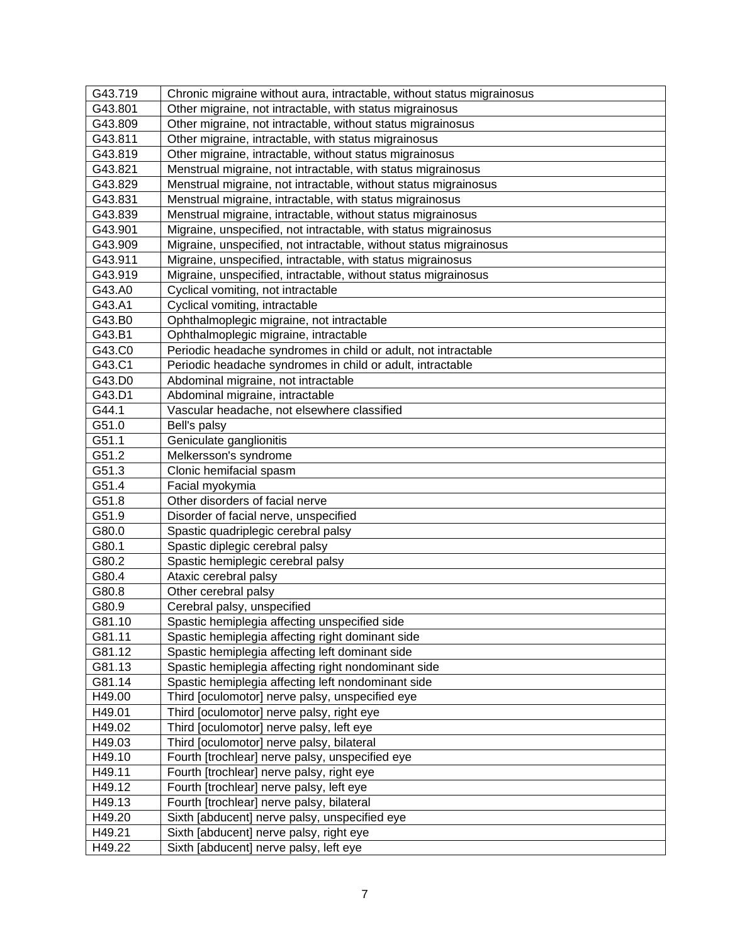| G43.719 | Chronic migraine without aura, intractable, without status migrainosus |
|---------|------------------------------------------------------------------------|
| G43.801 | Other migraine, not intractable, with status migrainosus               |
| G43.809 | Other migraine, not intractable, without status migrainosus            |
| G43.811 | Other migraine, intractable, with status migrainosus                   |
| G43.819 | Other migraine, intractable, without status migrainosus                |
| G43.821 | Menstrual migraine, not intractable, with status migrainosus           |
| G43.829 | Menstrual migraine, not intractable, without status migrainosus        |
| G43.831 | Menstrual migraine, intractable, with status migrainosus               |
| G43.839 | Menstrual migraine, intractable, without status migrainosus            |
| G43.901 | Migraine, unspecified, not intractable, with status migrainosus        |
| G43.909 | Migraine, unspecified, not intractable, without status migrainosus     |
| G43.911 | Migraine, unspecified, intractable, with status migrainosus            |
| G43.919 | Migraine, unspecified, intractable, without status migrainosus         |
| G43.A0  | Cyclical vomiting, not intractable                                     |
| G43.A1  | Cyclical vomiting, intractable                                         |
| G43.B0  | Ophthalmoplegic migraine, not intractable                              |
| G43.B1  | Ophthalmoplegic migraine, intractable                                  |
| G43.C0  | Periodic headache syndromes in child or adult, not intractable         |
| G43.C1  | Periodic headache syndromes in child or adult, intractable             |
| G43.D0  | Abdominal migraine, not intractable                                    |
| G43.D1  | Abdominal migraine, intractable                                        |
| G44.1   | Vascular headache, not elsewhere classified                            |
| G51.0   | Bell's palsy                                                           |
| G51.1   | Geniculate ganglionitis                                                |
| G51.2   | Melkersson's syndrome                                                  |
| G51.3   | Clonic hemifacial spasm                                                |
| G51.4   | Facial myokymia                                                        |
| G51.8   | Other disorders of facial nerve                                        |
| G51.9   | Disorder of facial nerve, unspecified                                  |
| G80.0   | Spastic quadriplegic cerebral palsy                                    |
| G80.1   | Spastic diplegic cerebral palsy                                        |
| G80.2   | Spastic hemiplegic cerebral palsy                                      |
| G80.4   | Ataxic cerebral palsy                                                  |
| G80.8   | Other cerebral palsy                                                   |
| G80.9   | Cerebral palsy, unspecified                                            |
| G81.10  | Spastic hemiplegia affecting unspecified side                          |
| G81.11  | Spastic hemiplegia affecting right dominant side                       |
| G81.12  | Spastic hemiplegia affecting left dominant side                        |
| G81.13  | Spastic hemiplegia affecting right nondominant side                    |
| G81.14  | Spastic hemiplegia affecting left nondominant side                     |
| H49.00  | Third [oculomotor] nerve palsy, unspecified eye                        |
| H49.01  | Third [oculomotor] nerve palsy, right eye                              |
| H49.02  | Third [oculomotor] nerve palsy, left eye                               |
| H49.03  | Third [oculomotor] nerve palsy, bilateral                              |
| H49.10  | Fourth [trochlear] nerve palsy, unspecified eye                        |
| H49.11  | Fourth [trochlear] nerve palsy, right eye                              |
| H49.12  | Fourth [trochlear] nerve palsy, left eye                               |
| H49.13  | Fourth [trochlear] nerve palsy, bilateral                              |
| H49.20  | Sixth [abducent] nerve palsy, unspecified eye                          |
| H49.21  | Sixth [abducent] nerve palsy, right eye                                |
| H49.22  | Sixth [abducent] nerve palsy, left eye                                 |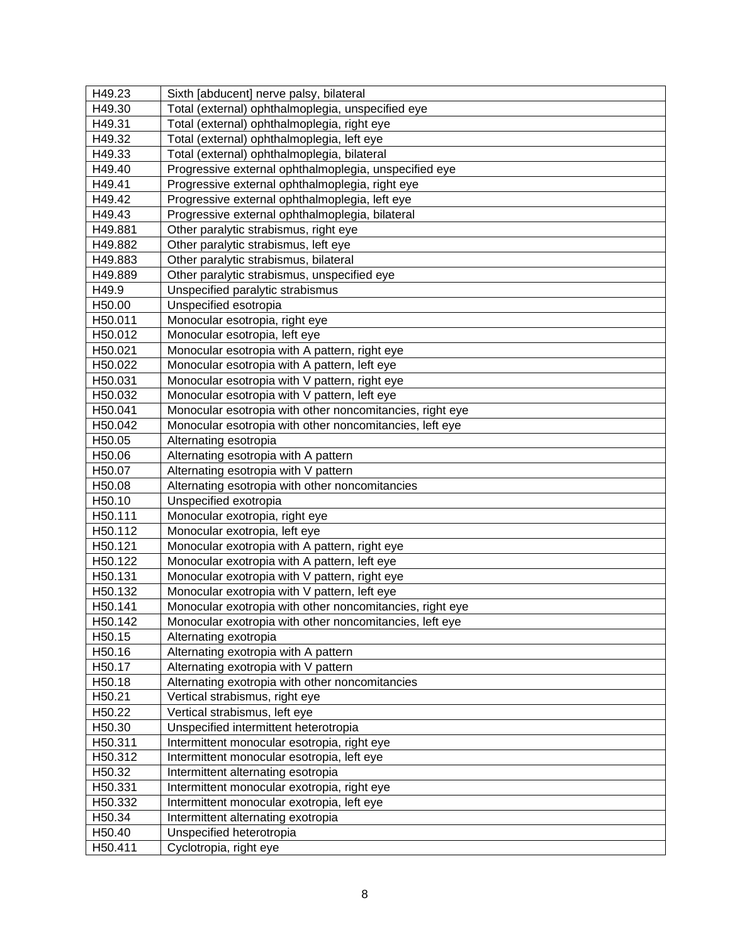| H49.30<br>Total (external) ophthalmoplegia, unspecified eye<br>Total (external) ophthalmoplegia, right eye<br>H49.31<br>H49.32<br>Total (external) ophthalmoplegia, left eye<br>Total (external) ophthalmoplegia, bilateral<br>H49.33<br>H49.40<br>Progressive external ophthalmoplegia, unspecified eye<br>H49.41<br>Progressive external ophthalmoplegia, right eye<br>H49.42<br>Progressive external ophthalmoplegia, left eye<br>H49.43<br>Progressive external ophthalmoplegia, bilateral<br>H49.881<br>Other paralytic strabismus, right eye<br>H49.882<br>Other paralytic strabismus, left eye<br>H49.883<br>Other paralytic strabismus, bilateral<br>H49.889<br>Other paralytic strabismus, unspecified eye<br>H49.9<br>Unspecified paralytic strabismus<br>H50.00<br>Unspecified esotropia<br>H50.011<br>Monocular esotropia, right eye<br>H50.012<br>Monocular esotropia, left eye<br>H50.021<br>Monocular esotropia with A pattern, right eye<br>H50.022<br>Monocular esotropia with A pattern, left eye<br>H50.031<br>Monocular esotropia with V pattern, right eye<br>Monocular esotropia with V pattern, left eye<br>H50.032<br>Monocular esotropia with other noncomitancies, right eye<br>H50.041<br>Monocular esotropia with other noncomitancies, left eye<br>H50.042<br>H50.05<br>Alternating esotropia<br>H50.06<br>Alternating esotropia with A pattern<br>Alternating esotropia with V pattern<br>H50.07<br>H50.08<br>Alternating esotropia with other noncomitancies<br>H50.10<br>Unspecified exotropia<br>H50.111<br>Monocular exotropia, right eye<br>Monocular exotropia, left eye<br>H <sub>50.112</sub><br>Monocular exotropia with A pattern, right eye<br>H <sub>50.121</sub><br>H50.122<br>Monocular exotropia with A pattern, left eye<br>Monocular exotropia with V pattern, right eye<br>H50.131<br>Monocular exotropia with V pattern, left eye<br>H50.132<br>Monocular exotropia with other noncomitancies, right eye<br>H50.141<br>H50.142<br>Monocular exotropia with other noncomitancies, left eye<br>H <sub>50.15</sub><br>Alternating exotropia<br>H50.16<br>Alternating exotropia with A pattern<br>H50.17<br>Alternating exotropia with V pattern<br>Alternating exotropia with other noncomitancies<br>H50.18<br>H50.21<br>Vertical strabismus, right eye<br>H50.22<br>Vertical strabismus, left eye<br>H50.30<br>Unspecified intermittent heterotropia<br>H50.311<br>Intermittent monocular esotropia, right eye<br>H50.312<br>Intermittent monocular esotropia, left eye<br>H50.32<br>Intermittent alternating esotropia<br>H50.331<br>Intermittent monocular exotropia, right eye<br>H50.332<br>Intermittent monocular exotropia, left eye<br>H50.34<br>Intermittent alternating exotropia<br>H50.40<br>Unspecified heterotropia<br>H50.411<br>Cyclotropia, right eye | H49.23 | Sixth [abducent] nerve palsy, bilateral |
|-----------------------------------------------------------------------------------------------------------------------------------------------------------------------------------------------------------------------------------------------------------------------------------------------------------------------------------------------------------------------------------------------------------------------------------------------------------------------------------------------------------------------------------------------------------------------------------------------------------------------------------------------------------------------------------------------------------------------------------------------------------------------------------------------------------------------------------------------------------------------------------------------------------------------------------------------------------------------------------------------------------------------------------------------------------------------------------------------------------------------------------------------------------------------------------------------------------------------------------------------------------------------------------------------------------------------------------------------------------------------------------------------------------------------------------------------------------------------------------------------------------------------------------------------------------------------------------------------------------------------------------------------------------------------------------------------------------------------------------------------------------------------------------------------------------------------------------------------------------------------------------------------------------------------------------------------------------------------------------------------------------------------------------------------------------------------------------------------------------------------------------------------------------------------------------------------------------------------------------------------------------------------------------------------------------------------------------------------------------------------------------------------------------------------------------------------------------------------------------------------------------------------------------------------------------------------------------------------------------------------------------------------------------------------------------------------------------------------------------------------------------------------------------------------------------------------|--------|-----------------------------------------|
|                                                                                                                                                                                                                                                                                                                                                                                                                                                                                                                                                                                                                                                                                                                                                                                                                                                                                                                                                                                                                                                                                                                                                                                                                                                                                                                                                                                                                                                                                                                                                                                                                                                                                                                                                                                                                                                                                                                                                                                                                                                                                                                                                                                                                                                                                                                                                                                                                                                                                                                                                                                                                                                                                                                                                                                                                       |        |                                         |
|                                                                                                                                                                                                                                                                                                                                                                                                                                                                                                                                                                                                                                                                                                                                                                                                                                                                                                                                                                                                                                                                                                                                                                                                                                                                                                                                                                                                                                                                                                                                                                                                                                                                                                                                                                                                                                                                                                                                                                                                                                                                                                                                                                                                                                                                                                                                                                                                                                                                                                                                                                                                                                                                                                                                                                                                                       |        |                                         |
|                                                                                                                                                                                                                                                                                                                                                                                                                                                                                                                                                                                                                                                                                                                                                                                                                                                                                                                                                                                                                                                                                                                                                                                                                                                                                                                                                                                                                                                                                                                                                                                                                                                                                                                                                                                                                                                                                                                                                                                                                                                                                                                                                                                                                                                                                                                                                                                                                                                                                                                                                                                                                                                                                                                                                                                                                       |        |                                         |
|                                                                                                                                                                                                                                                                                                                                                                                                                                                                                                                                                                                                                                                                                                                                                                                                                                                                                                                                                                                                                                                                                                                                                                                                                                                                                                                                                                                                                                                                                                                                                                                                                                                                                                                                                                                                                                                                                                                                                                                                                                                                                                                                                                                                                                                                                                                                                                                                                                                                                                                                                                                                                                                                                                                                                                                                                       |        |                                         |
|                                                                                                                                                                                                                                                                                                                                                                                                                                                                                                                                                                                                                                                                                                                                                                                                                                                                                                                                                                                                                                                                                                                                                                                                                                                                                                                                                                                                                                                                                                                                                                                                                                                                                                                                                                                                                                                                                                                                                                                                                                                                                                                                                                                                                                                                                                                                                                                                                                                                                                                                                                                                                                                                                                                                                                                                                       |        |                                         |
|                                                                                                                                                                                                                                                                                                                                                                                                                                                                                                                                                                                                                                                                                                                                                                                                                                                                                                                                                                                                                                                                                                                                                                                                                                                                                                                                                                                                                                                                                                                                                                                                                                                                                                                                                                                                                                                                                                                                                                                                                                                                                                                                                                                                                                                                                                                                                                                                                                                                                                                                                                                                                                                                                                                                                                                                                       |        |                                         |
|                                                                                                                                                                                                                                                                                                                                                                                                                                                                                                                                                                                                                                                                                                                                                                                                                                                                                                                                                                                                                                                                                                                                                                                                                                                                                                                                                                                                                                                                                                                                                                                                                                                                                                                                                                                                                                                                                                                                                                                                                                                                                                                                                                                                                                                                                                                                                                                                                                                                                                                                                                                                                                                                                                                                                                                                                       |        |                                         |
|                                                                                                                                                                                                                                                                                                                                                                                                                                                                                                                                                                                                                                                                                                                                                                                                                                                                                                                                                                                                                                                                                                                                                                                                                                                                                                                                                                                                                                                                                                                                                                                                                                                                                                                                                                                                                                                                                                                                                                                                                                                                                                                                                                                                                                                                                                                                                                                                                                                                                                                                                                                                                                                                                                                                                                                                                       |        |                                         |
|                                                                                                                                                                                                                                                                                                                                                                                                                                                                                                                                                                                                                                                                                                                                                                                                                                                                                                                                                                                                                                                                                                                                                                                                                                                                                                                                                                                                                                                                                                                                                                                                                                                                                                                                                                                                                                                                                                                                                                                                                                                                                                                                                                                                                                                                                                                                                                                                                                                                                                                                                                                                                                                                                                                                                                                                                       |        |                                         |
|                                                                                                                                                                                                                                                                                                                                                                                                                                                                                                                                                                                                                                                                                                                                                                                                                                                                                                                                                                                                                                                                                                                                                                                                                                                                                                                                                                                                                                                                                                                                                                                                                                                                                                                                                                                                                                                                                                                                                                                                                                                                                                                                                                                                                                                                                                                                                                                                                                                                                                                                                                                                                                                                                                                                                                                                                       |        |                                         |
|                                                                                                                                                                                                                                                                                                                                                                                                                                                                                                                                                                                                                                                                                                                                                                                                                                                                                                                                                                                                                                                                                                                                                                                                                                                                                                                                                                                                                                                                                                                                                                                                                                                                                                                                                                                                                                                                                                                                                                                                                                                                                                                                                                                                                                                                                                                                                                                                                                                                                                                                                                                                                                                                                                                                                                                                                       |        |                                         |
|                                                                                                                                                                                                                                                                                                                                                                                                                                                                                                                                                                                                                                                                                                                                                                                                                                                                                                                                                                                                                                                                                                                                                                                                                                                                                                                                                                                                                                                                                                                                                                                                                                                                                                                                                                                                                                                                                                                                                                                                                                                                                                                                                                                                                                                                                                                                                                                                                                                                                                                                                                                                                                                                                                                                                                                                                       |        |                                         |
|                                                                                                                                                                                                                                                                                                                                                                                                                                                                                                                                                                                                                                                                                                                                                                                                                                                                                                                                                                                                                                                                                                                                                                                                                                                                                                                                                                                                                                                                                                                                                                                                                                                                                                                                                                                                                                                                                                                                                                                                                                                                                                                                                                                                                                                                                                                                                                                                                                                                                                                                                                                                                                                                                                                                                                                                                       |        |                                         |
|                                                                                                                                                                                                                                                                                                                                                                                                                                                                                                                                                                                                                                                                                                                                                                                                                                                                                                                                                                                                                                                                                                                                                                                                                                                                                                                                                                                                                                                                                                                                                                                                                                                                                                                                                                                                                                                                                                                                                                                                                                                                                                                                                                                                                                                                                                                                                                                                                                                                                                                                                                                                                                                                                                                                                                                                                       |        |                                         |
|                                                                                                                                                                                                                                                                                                                                                                                                                                                                                                                                                                                                                                                                                                                                                                                                                                                                                                                                                                                                                                                                                                                                                                                                                                                                                                                                                                                                                                                                                                                                                                                                                                                                                                                                                                                                                                                                                                                                                                                                                                                                                                                                                                                                                                                                                                                                                                                                                                                                                                                                                                                                                                                                                                                                                                                                                       |        |                                         |
|                                                                                                                                                                                                                                                                                                                                                                                                                                                                                                                                                                                                                                                                                                                                                                                                                                                                                                                                                                                                                                                                                                                                                                                                                                                                                                                                                                                                                                                                                                                                                                                                                                                                                                                                                                                                                                                                                                                                                                                                                                                                                                                                                                                                                                                                                                                                                                                                                                                                                                                                                                                                                                                                                                                                                                                                                       |        |                                         |
|                                                                                                                                                                                                                                                                                                                                                                                                                                                                                                                                                                                                                                                                                                                                                                                                                                                                                                                                                                                                                                                                                                                                                                                                                                                                                                                                                                                                                                                                                                                                                                                                                                                                                                                                                                                                                                                                                                                                                                                                                                                                                                                                                                                                                                                                                                                                                                                                                                                                                                                                                                                                                                                                                                                                                                                                                       |        |                                         |
|                                                                                                                                                                                                                                                                                                                                                                                                                                                                                                                                                                                                                                                                                                                                                                                                                                                                                                                                                                                                                                                                                                                                                                                                                                                                                                                                                                                                                                                                                                                                                                                                                                                                                                                                                                                                                                                                                                                                                                                                                                                                                                                                                                                                                                                                                                                                                                                                                                                                                                                                                                                                                                                                                                                                                                                                                       |        |                                         |
|                                                                                                                                                                                                                                                                                                                                                                                                                                                                                                                                                                                                                                                                                                                                                                                                                                                                                                                                                                                                                                                                                                                                                                                                                                                                                                                                                                                                                                                                                                                                                                                                                                                                                                                                                                                                                                                                                                                                                                                                                                                                                                                                                                                                                                                                                                                                                                                                                                                                                                                                                                                                                                                                                                                                                                                                                       |        |                                         |
|                                                                                                                                                                                                                                                                                                                                                                                                                                                                                                                                                                                                                                                                                                                                                                                                                                                                                                                                                                                                                                                                                                                                                                                                                                                                                                                                                                                                                                                                                                                                                                                                                                                                                                                                                                                                                                                                                                                                                                                                                                                                                                                                                                                                                                                                                                                                                                                                                                                                                                                                                                                                                                                                                                                                                                                                                       |        |                                         |
|                                                                                                                                                                                                                                                                                                                                                                                                                                                                                                                                                                                                                                                                                                                                                                                                                                                                                                                                                                                                                                                                                                                                                                                                                                                                                                                                                                                                                                                                                                                                                                                                                                                                                                                                                                                                                                                                                                                                                                                                                                                                                                                                                                                                                                                                                                                                                                                                                                                                                                                                                                                                                                                                                                                                                                                                                       |        |                                         |
|                                                                                                                                                                                                                                                                                                                                                                                                                                                                                                                                                                                                                                                                                                                                                                                                                                                                                                                                                                                                                                                                                                                                                                                                                                                                                                                                                                                                                                                                                                                                                                                                                                                                                                                                                                                                                                                                                                                                                                                                                                                                                                                                                                                                                                                                                                                                                                                                                                                                                                                                                                                                                                                                                                                                                                                                                       |        |                                         |
|                                                                                                                                                                                                                                                                                                                                                                                                                                                                                                                                                                                                                                                                                                                                                                                                                                                                                                                                                                                                                                                                                                                                                                                                                                                                                                                                                                                                                                                                                                                                                                                                                                                                                                                                                                                                                                                                                                                                                                                                                                                                                                                                                                                                                                                                                                                                                                                                                                                                                                                                                                                                                                                                                                                                                                                                                       |        |                                         |
|                                                                                                                                                                                                                                                                                                                                                                                                                                                                                                                                                                                                                                                                                                                                                                                                                                                                                                                                                                                                                                                                                                                                                                                                                                                                                                                                                                                                                                                                                                                                                                                                                                                                                                                                                                                                                                                                                                                                                                                                                                                                                                                                                                                                                                                                                                                                                                                                                                                                                                                                                                                                                                                                                                                                                                                                                       |        |                                         |
|                                                                                                                                                                                                                                                                                                                                                                                                                                                                                                                                                                                                                                                                                                                                                                                                                                                                                                                                                                                                                                                                                                                                                                                                                                                                                                                                                                                                                                                                                                                                                                                                                                                                                                                                                                                                                                                                                                                                                                                                                                                                                                                                                                                                                                                                                                                                                                                                                                                                                                                                                                                                                                                                                                                                                                                                                       |        |                                         |
|                                                                                                                                                                                                                                                                                                                                                                                                                                                                                                                                                                                                                                                                                                                                                                                                                                                                                                                                                                                                                                                                                                                                                                                                                                                                                                                                                                                                                                                                                                                                                                                                                                                                                                                                                                                                                                                                                                                                                                                                                                                                                                                                                                                                                                                                                                                                                                                                                                                                                                                                                                                                                                                                                                                                                                                                                       |        |                                         |
|                                                                                                                                                                                                                                                                                                                                                                                                                                                                                                                                                                                                                                                                                                                                                                                                                                                                                                                                                                                                                                                                                                                                                                                                                                                                                                                                                                                                                                                                                                                                                                                                                                                                                                                                                                                                                                                                                                                                                                                                                                                                                                                                                                                                                                                                                                                                                                                                                                                                                                                                                                                                                                                                                                                                                                                                                       |        |                                         |
|                                                                                                                                                                                                                                                                                                                                                                                                                                                                                                                                                                                                                                                                                                                                                                                                                                                                                                                                                                                                                                                                                                                                                                                                                                                                                                                                                                                                                                                                                                                                                                                                                                                                                                                                                                                                                                                                                                                                                                                                                                                                                                                                                                                                                                                                                                                                                                                                                                                                                                                                                                                                                                                                                                                                                                                                                       |        |                                         |
|                                                                                                                                                                                                                                                                                                                                                                                                                                                                                                                                                                                                                                                                                                                                                                                                                                                                                                                                                                                                                                                                                                                                                                                                                                                                                                                                                                                                                                                                                                                                                                                                                                                                                                                                                                                                                                                                                                                                                                                                                                                                                                                                                                                                                                                                                                                                                                                                                                                                                                                                                                                                                                                                                                                                                                                                                       |        |                                         |
|                                                                                                                                                                                                                                                                                                                                                                                                                                                                                                                                                                                                                                                                                                                                                                                                                                                                                                                                                                                                                                                                                                                                                                                                                                                                                                                                                                                                                                                                                                                                                                                                                                                                                                                                                                                                                                                                                                                                                                                                                                                                                                                                                                                                                                                                                                                                                                                                                                                                                                                                                                                                                                                                                                                                                                                                                       |        |                                         |
|                                                                                                                                                                                                                                                                                                                                                                                                                                                                                                                                                                                                                                                                                                                                                                                                                                                                                                                                                                                                                                                                                                                                                                                                                                                                                                                                                                                                                                                                                                                                                                                                                                                                                                                                                                                                                                                                                                                                                                                                                                                                                                                                                                                                                                                                                                                                                                                                                                                                                                                                                                                                                                                                                                                                                                                                                       |        |                                         |
|                                                                                                                                                                                                                                                                                                                                                                                                                                                                                                                                                                                                                                                                                                                                                                                                                                                                                                                                                                                                                                                                                                                                                                                                                                                                                                                                                                                                                                                                                                                                                                                                                                                                                                                                                                                                                                                                                                                                                                                                                                                                                                                                                                                                                                                                                                                                                                                                                                                                                                                                                                                                                                                                                                                                                                                                                       |        |                                         |
|                                                                                                                                                                                                                                                                                                                                                                                                                                                                                                                                                                                                                                                                                                                                                                                                                                                                                                                                                                                                                                                                                                                                                                                                                                                                                                                                                                                                                                                                                                                                                                                                                                                                                                                                                                                                                                                                                                                                                                                                                                                                                                                                                                                                                                                                                                                                                                                                                                                                                                                                                                                                                                                                                                                                                                                                                       |        |                                         |
|                                                                                                                                                                                                                                                                                                                                                                                                                                                                                                                                                                                                                                                                                                                                                                                                                                                                                                                                                                                                                                                                                                                                                                                                                                                                                                                                                                                                                                                                                                                                                                                                                                                                                                                                                                                                                                                                                                                                                                                                                                                                                                                                                                                                                                                                                                                                                                                                                                                                                                                                                                                                                                                                                                                                                                                                                       |        |                                         |
|                                                                                                                                                                                                                                                                                                                                                                                                                                                                                                                                                                                                                                                                                                                                                                                                                                                                                                                                                                                                                                                                                                                                                                                                                                                                                                                                                                                                                                                                                                                                                                                                                                                                                                                                                                                                                                                                                                                                                                                                                                                                                                                                                                                                                                                                                                                                                                                                                                                                                                                                                                                                                                                                                                                                                                                                                       |        |                                         |
|                                                                                                                                                                                                                                                                                                                                                                                                                                                                                                                                                                                                                                                                                                                                                                                                                                                                                                                                                                                                                                                                                                                                                                                                                                                                                                                                                                                                                                                                                                                                                                                                                                                                                                                                                                                                                                                                                                                                                                                                                                                                                                                                                                                                                                                                                                                                                                                                                                                                                                                                                                                                                                                                                                                                                                                                                       |        |                                         |
|                                                                                                                                                                                                                                                                                                                                                                                                                                                                                                                                                                                                                                                                                                                                                                                                                                                                                                                                                                                                                                                                                                                                                                                                                                                                                                                                                                                                                                                                                                                                                                                                                                                                                                                                                                                                                                                                                                                                                                                                                                                                                                                                                                                                                                                                                                                                                                                                                                                                                                                                                                                                                                                                                                                                                                                                                       |        |                                         |
|                                                                                                                                                                                                                                                                                                                                                                                                                                                                                                                                                                                                                                                                                                                                                                                                                                                                                                                                                                                                                                                                                                                                                                                                                                                                                                                                                                                                                                                                                                                                                                                                                                                                                                                                                                                                                                                                                                                                                                                                                                                                                                                                                                                                                                                                                                                                                                                                                                                                                                                                                                                                                                                                                                                                                                                                                       |        |                                         |
|                                                                                                                                                                                                                                                                                                                                                                                                                                                                                                                                                                                                                                                                                                                                                                                                                                                                                                                                                                                                                                                                                                                                                                                                                                                                                                                                                                                                                                                                                                                                                                                                                                                                                                                                                                                                                                                                                                                                                                                                                                                                                                                                                                                                                                                                                                                                                                                                                                                                                                                                                                                                                                                                                                                                                                                                                       |        |                                         |
|                                                                                                                                                                                                                                                                                                                                                                                                                                                                                                                                                                                                                                                                                                                                                                                                                                                                                                                                                                                                                                                                                                                                                                                                                                                                                                                                                                                                                                                                                                                                                                                                                                                                                                                                                                                                                                                                                                                                                                                                                                                                                                                                                                                                                                                                                                                                                                                                                                                                                                                                                                                                                                                                                                                                                                                                                       |        |                                         |
|                                                                                                                                                                                                                                                                                                                                                                                                                                                                                                                                                                                                                                                                                                                                                                                                                                                                                                                                                                                                                                                                                                                                                                                                                                                                                                                                                                                                                                                                                                                                                                                                                                                                                                                                                                                                                                                                                                                                                                                                                                                                                                                                                                                                                                                                                                                                                                                                                                                                                                                                                                                                                                                                                                                                                                                                                       |        |                                         |
|                                                                                                                                                                                                                                                                                                                                                                                                                                                                                                                                                                                                                                                                                                                                                                                                                                                                                                                                                                                                                                                                                                                                                                                                                                                                                                                                                                                                                                                                                                                                                                                                                                                                                                                                                                                                                                                                                                                                                                                                                                                                                                                                                                                                                                                                                                                                                                                                                                                                                                                                                                                                                                                                                                                                                                                                                       |        |                                         |
|                                                                                                                                                                                                                                                                                                                                                                                                                                                                                                                                                                                                                                                                                                                                                                                                                                                                                                                                                                                                                                                                                                                                                                                                                                                                                                                                                                                                                                                                                                                                                                                                                                                                                                                                                                                                                                                                                                                                                                                                                                                                                                                                                                                                                                                                                                                                                                                                                                                                                                                                                                                                                                                                                                                                                                                                                       |        |                                         |
|                                                                                                                                                                                                                                                                                                                                                                                                                                                                                                                                                                                                                                                                                                                                                                                                                                                                                                                                                                                                                                                                                                                                                                                                                                                                                                                                                                                                                                                                                                                                                                                                                                                                                                                                                                                                                                                                                                                                                                                                                                                                                                                                                                                                                                                                                                                                                                                                                                                                                                                                                                                                                                                                                                                                                                                                                       |        |                                         |
|                                                                                                                                                                                                                                                                                                                                                                                                                                                                                                                                                                                                                                                                                                                                                                                                                                                                                                                                                                                                                                                                                                                                                                                                                                                                                                                                                                                                                                                                                                                                                                                                                                                                                                                                                                                                                                                                                                                                                                                                                                                                                                                                                                                                                                                                                                                                                                                                                                                                                                                                                                                                                                                                                                                                                                                                                       |        |                                         |
|                                                                                                                                                                                                                                                                                                                                                                                                                                                                                                                                                                                                                                                                                                                                                                                                                                                                                                                                                                                                                                                                                                                                                                                                                                                                                                                                                                                                                                                                                                                                                                                                                                                                                                                                                                                                                                                                                                                                                                                                                                                                                                                                                                                                                                                                                                                                                                                                                                                                                                                                                                                                                                                                                                                                                                                                                       |        |                                         |
|                                                                                                                                                                                                                                                                                                                                                                                                                                                                                                                                                                                                                                                                                                                                                                                                                                                                                                                                                                                                                                                                                                                                                                                                                                                                                                                                                                                                                                                                                                                                                                                                                                                                                                                                                                                                                                                                                                                                                                                                                                                                                                                                                                                                                                                                                                                                                                                                                                                                                                                                                                                                                                                                                                                                                                                                                       |        |                                         |
|                                                                                                                                                                                                                                                                                                                                                                                                                                                                                                                                                                                                                                                                                                                                                                                                                                                                                                                                                                                                                                                                                                                                                                                                                                                                                                                                                                                                                                                                                                                                                                                                                                                                                                                                                                                                                                                                                                                                                                                                                                                                                                                                                                                                                                                                                                                                                                                                                                                                                                                                                                                                                                                                                                                                                                                                                       |        |                                         |
|                                                                                                                                                                                                                                                                                                                                                                                                                                                                                                                                                                                                                                                                                                                                                                                                                                                                                                                                                                                                                                                                                                                                                                                                                                                                                                                                                                                                                                                                                                                                                                                                                                                                                                                                                                                                                                                                                                                                                                                                                                                                                                                                                                                                                                                                                                                                                                                                                                                                                                                                                                                                                                                                                                                                                                                                                       |        |                                         |
|                                                                                                                                                                                                                                                                                                                                                                                                                                                                                                                                                                                                                                                                                                                                                                                                                                                                                                                                                                                                                                                                                                                                                                                                                                                                                                                                                                                                                                                                                                                                                                                                                                                                                                                                                                                                                                                                                                                                                                                                                                                                                                                                                                                                                                                                                                                                                                                                                                                                                                                                                                                                                                                                                                                                                                                                                       |        |                                         |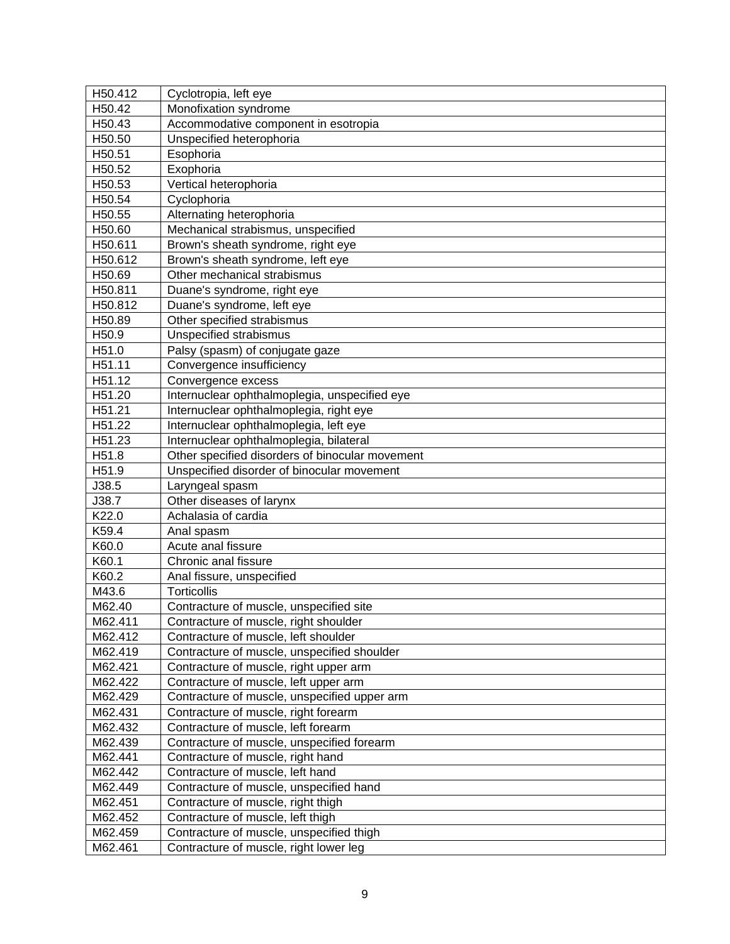| H50.412 | Cyclotropia, left eye                           |
|---------|-------------------------------------------------|
| H50.42  | Monofixation syndrome                           |
| H50.43  | Accommodative component in esotropia            |
| H50.50  | Unspecified heterophoria                        |
| H50.51  | Esophoria                                       |
| H50.52  | Exophoria                                       |
| H50.53  | Vertical heterophoria                           |
| H50.54  | Cyclophoria                                     |
| H50.55  | Alternating heterophoria                        |
| H50.60  | Mechanical strabismus, unspecified              |
| H50.611 | Brown's sheath syndrome, right eye              |
| H50.612 | Brown's sheath syndrome, left eye               |
| H50.69  | Other mechanical strabismus                     |
| H50.811 | Duane's syndrome, right eye                     |
| H50.812 | Duane's syndrome, left eye                      |
| H50.89  | Other specified strabismus                      |
| H50.9   | Unspecified strabismus                          |
| H51.0   | Palsy (spasm) of conjugate gaze                 |
| H51.11  | Convergence insufficiency                       |
| H51.12  | Convergence excess                              |
| H51.20  | Internuclear ophthalmoplegia, unspecified eye   |
| H51.21  | Internuclear ophthalmoplegia, right eye         |
| H51.22  | Internuclear ophthalmoplegia, left eye          |
| H51.23  | Internuclear ophthalmoplegia, bilateral         |
| H51.8   | Other specified disorders of binocular movement |
| H51.9   | Unspecified disorder of binocular movement      |
| J38.5   | Laryngeal spasm                                 |
| J38.7   | Other diseases of larynx                        |
| K22.0   | Achalasia of cardia                             |
| K59.4   | Anal spasm                                      |
| K60.0   | Acute anal fissure                              |
| K60.1   | Chronic anal fissure                            |
| K60.2   | Anal fissure, unspecified                       |
| M43.6   | <b>Torticollis</b>                              |
| M62.40  | Contracture of muscle, unspecified site         |
| M62.411 | Contracture of muscle, right shoulder           |
| M62.412 | Contracture of muscle, left shoulder            |
| M62.419 | Contracture of muscle, unspecified shoulder     |
| M62.421 | Contracture of muscle, right upper arm          |
| M62.422 | Contracture of muscle, left upper arm           |
| M62.429 | Contracture of muscle, unspecified upper arm    |
| M62.431 | Contracture of muscle, right forearm            |
| M62.432 | Contracture of muscle, left forearm             |
| M62.439 | Contracture of muscle, unspecified forearm      |
| M62.441 | Contracture of muscle, right hand               |
| M62.442 | Contracture of muscle, left hand                |
| M62.449 | Contracture of muscle, unspecified hand         |
| M62.451 | Contracture of muscle, right thigh              |
| M62.452 | Contracture of muscle, left thigh               |
| M62.459 | Contracture of muscle, unspecified thigh        |
| M62.461 | Contracture of muscle, right lower leg          |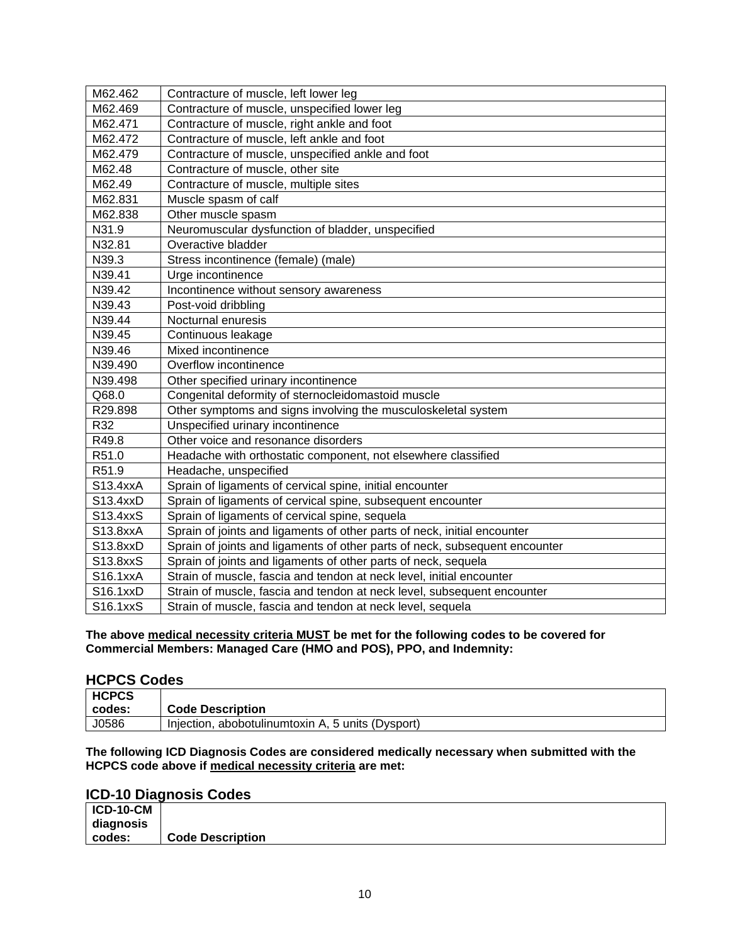| M62.462  | Contracture of muscle, left lower leg                                       |
|----------|-----------------------------------------------------------------------------|
| M62.469  | Contracture of muscle, unspecified lower leg                                |
| M62.471  | Contracture of muscle, right ankle and foot                                 |
| M62.472  | Contracture of muscle, left ankle and foot                                  |
| M62.479  | Contracture of muscle, unspecified ankle and foot                           |
| M62.48   | Contracture of muscle, other site                                           |
| M62.49   | Contracture of muscle, multiple sites                                       |
| M62.831  | Muscle spasm of calf                                                        |
| M62.838  | Other muscle spasm                                                          |
| N31.9    | Neuromuscular dysfunction of bladder, unspecified                           |
| N32.81   | Overactive bladder                                                          |
| N39.3    | Stress incontinence (female) (male)                                         |
| N39.41   | Urge incontinence                                                           |
| N39.42   | Incontinence without sensory awareness                                      |
| N39.43   | Post-void dribbling                                                         |
| N39.44   | Nocturnal enuresis                                                          |
| N39.45   | Continuous leakage                                                          |
| N39.46   | Mixed incontinence                                                          |
| N39.490  | Overflow incontinence                                                       |
| N39.498  | Other specified urinary incontinence                                        |
| Q68.0    | Congenital deformity of sternocleidomastoid muscle                          |
| R29.898  | Other symptoms and signs involving the musculoskeletal system               |
| R32      | Unspecified urinary incontinence                                            |
| R49.8    | Other voice and resonance disorders                                         |
| R51.0    | Headache with orthostatic component, not elsewhere classified               |
| R51.9    | Headache, unspecified                                                       |
| S13.4xxA | Sprain of ligaments of cervical spine, initial encounter                    |
| S13.4xxD | Sprain of ligaments of cervical spine, subsequent encounter                 |
| S13.4xxS | Sprain of ligaments of cervical spine, sequela                              |
| S13.8xxA | Sprain of joints and ligaments of other parts of neck, initial encounter    |
| S13.8xxD | Sprain of joints and ligaments of other parts of neck, subsequent encounter |
| S13.8xxS | Sprain of joints and ligaments of other parts of neck, sequela              |
| S16.1xxA | Strain of muscle, fascia and tendon at neck level, initial encounter        |
| S16.1xxD | Strain of muscle, fascia and tendon at neck level, subsequent encounter     |
| S16.1xxS | Strain of muscle, fascia and tendon at neck level, sequela                  |

**The above medical necessity criteria MUST be met for the following codes to be covered for Commercial Members: Managed Care (HMO and POS), PPO, and Indemnity:**

#### **HCPCS Codes**

| <b>HCPCS</b> |                                                   |
|--------------|---------------------------------------------------|
| codes:       | <b>Code Description</b>                           |
| J0586        | Injection, abobotulinumtoxin A, 5 units (Dysport) |

**The following ICD Diagnosis Codes are considered medically necessary when submitted with the HCPCS code above if medical necessity criteria are met:**

### **ICD-10 Diagnosis Codes**

| <b>ICD-10-CM</b> |                         |
|------------------|-------------------------|
| diagnosis        |                         |
| codes:           | <b>Code Description</b> |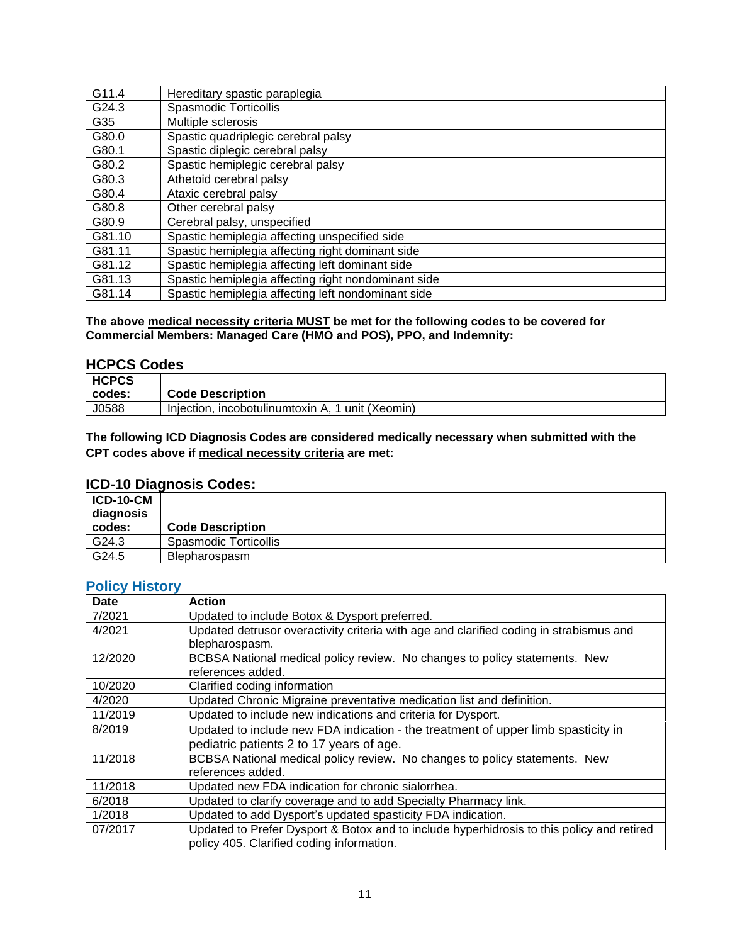| G11.4  | Hereditary spastic paraplegia                       |
|--------|-----------------------------------------------------|
| G24.3  | <b>Spasmodic Torticollis</b>                        |
| G35    | Multiple sclerosis                                  |
| G80.0  | Spastic quadriplegic cerebral palsy                 |
| G80.1  | Spastic diplegic cerebral palsy                     |
| G80.2  | Spastic hemiplegic cerebral palsy                   |
| G80.3  | Athetoid cerebral palsy                             |
| G80.4  | Ataxic cerebral palsy                               |
| G80.8  | Other cerebral palsy                                |
| G80.9  | Cerebral palsy, unspecified                         |
| G81.10 | Spastic hemiplegia affecting unspecified side       |
| G81.11 | Spastic hemiplegia affecting right dominant side    |
| G81.12 | Spastic hemiplegia affecting left dominant side     |
| G81.13 | Spastic hemiplegia affecting right nondominant side |
| G81.14 | Spastic hemiplegia affecting left nondominant side  |

**The above medical necessity criteria MUST be met for the following codes to be covered for Commercial Members: Managed Care (HMO and POS), PPO, and Indemnity:**

#### **HCPCS Codes**

| <b>HCPCS</b> |                                                  |
|--------------|--------------------------------------------------|
| codes:       | <b>Code Description</b>                          |
| J0588        | Injection, incobotulinumtoxin A, 1 unit (Xeomin) |

**The following ICD Diagnosis Codes are considered medically necessary when submitted with the CPT codes above if medical necessity criteria are met:**

### **ICD-10 Diagnosis Codes:**

| <b>ICD-10-CM</b><br>diagnosis<br>codes: | <b>Code Description</b> |
|-----------------------------------------|-------------------------|
| G24.3                                   | Spasmodic Torticollis   |
| G24.5                                   | <b>Blepharospasm</b>    |

## <span id="page-10-0"></span>**Policy History**

| <b>Date</b> | <b>Action</b>                                                                             |
|-------------|-------------------------------------------------------------------------------------------|
| 7/2021      | Updated to include Botox & Dysport preferred.                                             |
| 4/2021      | Updated detrusor overactivity criteria with age and clarified coding in strabismus and    |
|             | blepharospasm.                                                                            |
| 12/2020     | BCBSA National medical policy review. No changes to policy statements. New                |
|             | references added.                                                                         |
| 10/2020     | Clarified coding information                                                              |
| 4/2020      | Updated Chronic Migraine preventative medication list and definition.                     |
| 11/2019     | Updated to include new indications and criteria for Dysport.                              |
| 8/2019      | Updated to include new FDA indication - the treatment of upper limb spasticity in         |
|             | pediatric patients 2 to 17 years of age.                                                  |
| 11/2018     | BCBSA National medical policy review. No changes to policy statements. New                |
|             | references added.                                                                         |
| 11/2018     | Updated new FDA indication for chronic sialorrhea.                                        |
| 6/2018      | Updated to clarify coverage and to add Specialty Pharmacy link.                           |
| 1/2018      | Updated to add Dysport's updated spasticity FDA indication.                               |
| 07/2017     | Updated to Prefer Dysport & Botox and to include hyperhidrosis to this policy and retired |
|             | policy 405. Clarified coding information.                                                 |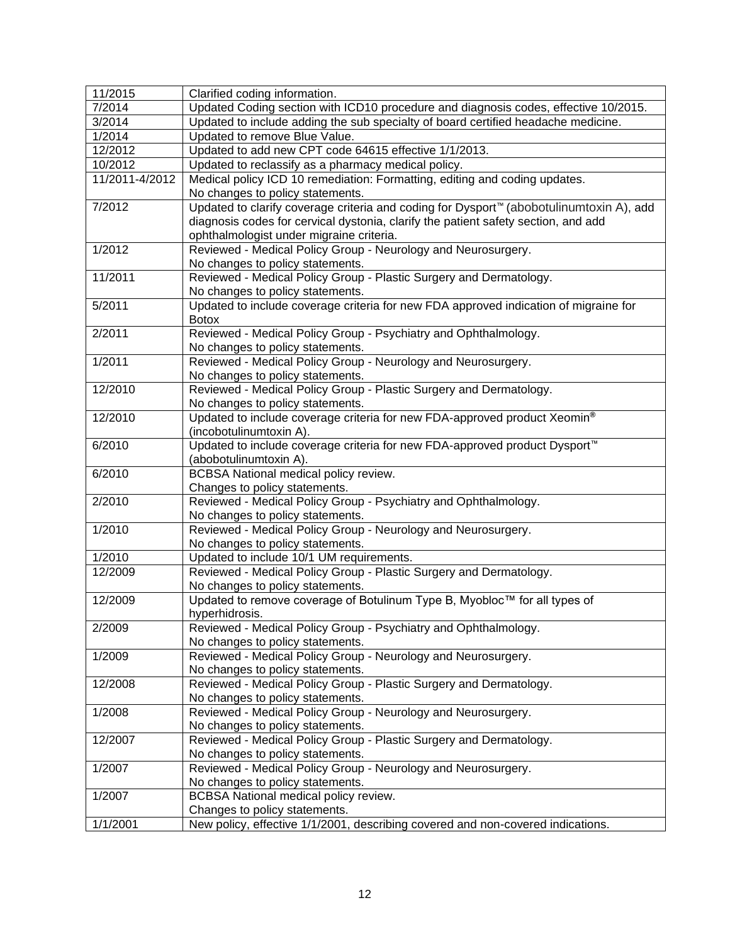| 11/2015        | Clarified coding information.                                                                       |
|----------------|-----------------------------------------------------------------------------------------------------|
| 7/2014         | Updated Coding section with ICD10 procedure and diagnosis codes, effective 10/2015.                 |
| 3/2014         | Updated to include adding the sub specialty of board certified headache medicine.                   |
| 1/2014         | Updated to remove Blue Value.                                                                       |
| 12/2012        | Updated to add new CPT code 64615 effective 1/1/2013.                                               |
| 10/2012        | Updated to reclassify as a pharmacy medical policy.                                                 |
| 11/2011-4/2012 | Medical policy ICD 10 remediation: Formatting, editing and coding updates.                          |
|                | No changes to policy statements.                                                                    |
| 7/2012         | Updated to clarify coverage criteria and coding for Dysport <sup>™</sup> (abobotulinumtoxin A), add |
|                | diagnosis codes for cervical dystonia, clarify the patient safety section, and add                  |
|                | ophthalmologist under migraine criteria.                                                            |
| 1/2012         | Reviewed - Medical Policy Group - Neurology and Neurosurgery.                                       |
|                | No changes to policy statements.                                                                    |
| 11/2011        | Reviewed - Medical Policy Group - Plastic Surgery and Dermatology.                                  |
|                | No changes to policy statements.                                                                    |
| 5/2011         | Updated to include coverage criteria for new FDA approved indication of migraine for                |
|                | <b>Botox</b>                                                                                        |
| 2/2011         | Reviewed - Medical Policy Group - Psychiatry and Ophthalmology.                                     |
|                | No changes to policy statements.                                                                    |
| 1/2011         | Reviewed - Medical Policy Group - Neurology and Neurosurgery.                                       |
|                | No changes to policy statements.                                                                    |
| 12/2010        | Reviewed - Medical Policy Group - Plastic Surgery and Dermatology.                                  |
|                | No changes to policy statements.                                                                    |
| 12/2010        | Updated to include coverage criteria for new FDA-approved product Xeomin®                           |
|                | (incobotulinumtoxin A).                                                                             |
| 6/2010         | Updated to include coverage criteria for new FDA-approved product Dysport <sup>™</sup>              |
|                | (abobotulinumtoxin A).                                                                              |
| 6/2010         | <b>BCBSA National medical policy review.</b>                                                        |
|                | Changes to policy statements.                                                                       |
| 2/2010         | Reviewed - Medical Policy Group - Psychiatry and Ophthalmology.                                     |
|                | No changes to policy statements.                                                                    |
| 1/2010         | Reviewed - Medical Policy Group - Neurology and Neurosurgery.                                       |
|                | No changes to policy statements.                                                                    |
| 1/2010         | Updated to include 10/1 UM requirements.                                                            |
| 12/2009        | Reviewed - Medical Policy Group - Plastic Surgery and Dermatology.                                  |
|                | No changes to policy statements.                                                                    |
| 12/2009        | Updated to remove coverage of Botulinum Type B, Myobloc™ for all types of                           |
|                | hyperhidrosis.                                                                                      |
| 2/2009         | Reviewed - Medical Policy Group - Psychiatry and Ophthalmology.                                     |
|                | No changes to policy statements.                                                                    |
| 1/2009         | Reviewed - Medical Policy Group - Neurology and Neurosurgery.                                       |
|                | No changes to policy statements.                                                                    |
| 12/2008        | Reviewed - Medical Policy Group - Plastic Surgery and Dermatology.                                  |
|                | No changes to policy statements.                                                                    |
| 1/2008         | Reviewed - Medical Policy Group - Neurology and Neurosurgery.                                       |
|                | No changes to policy statements.                                                                    |
| 12/2007        | Reviewed - Medical Policy Group - Plastic Surgery and Dermatology.                                  |
|                | No changes to policy statements.                                                                    |
| 1/2007         | Reviewed - Medical Policy Group - Neurology and Neurosurgery.                                       |
|                | No changes to policy statements.                                                                    |
| 1/2007         | BCBSA National medical policy review.<br>Changes to policy statements.                              |
| 1/1/2001       | New policy, effective 1/1/2001, describing covered and non-covered indications.                     |
|                |                                                                                                     |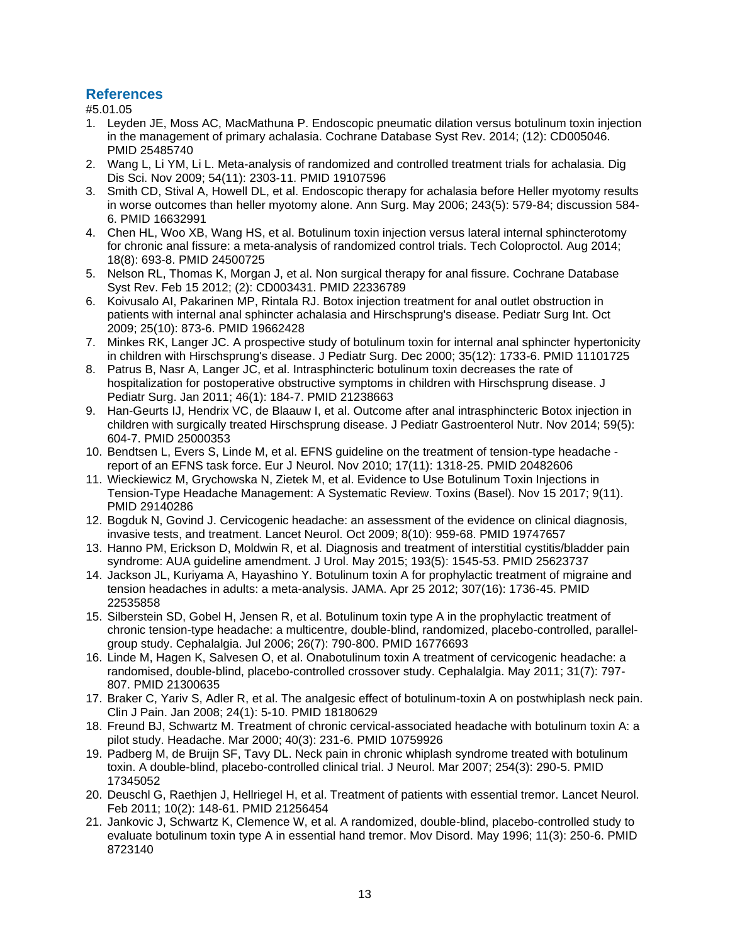#### <span id="page-12-0"></span>**References**

#5.01.05

- 1. Leyden JE, Moss AC, MacMathuna P. Endoscopic pneumatic dilation versus botulinum toxin injection in the management of primary achalasia. Cochrane Database Syst Rev. 2014; (12): CD005046. PMID 25485740
- 2. Wang L, Li YM, Li L. Meta-analysis of randomized and controlled treatment trials for achalasia. Dig Dis Sci. Nov 2009; 54(11): 2303-11. PMID 19107596
- 3. Smith CD, Stival A, Howell DL, et al. Endoscopic therapy for achalasia before Heller myotomy results in worse outcomes than heller myotomy alone. Ann Surg. May 2006; 243(5): 579-84; discussion 584- 6. PMID 16632991
- 4. Chen HL, Woo XB, Wang HS, et al. Botulinum toxin injection versus lateral internal sphincterotomy for chronic anal fissure: a meta-analysis of randomized control trials. Tech Coloproctol. Aug 2014; 18(8): 693-8. PMID 24500725
- 5. Nelson RL, Thomas K, Morgan J, et al. Non surgical therapy for anal fissure. Cochrane Database Syst Rev. Feb 15 2012; (2): CD003431. PMID 22336789
- 6. Koivusalo AI, Pakarinen MP, Rintala RJ. Botox injection treatment for anal outlet obstruction in patients with internal anal sphincter achalasia and Hirschsprung's disease. Pediatr Surg Int. Oct 2009; 25(10): 873-6. PMID 19662428
- 7. Minkes RK, Langer JC. A prospective study of botulinum toxin for internal anal sphincter hypertonicity in children with Hirschsprung's disease. J Pediatr Surg. Dec 2000; 35(12): 1733-6. PMID 11101725
- 8. Patrus B, Nasr A, Langer JC, et al. Intrasphincteric botulinum toxin decreases the rate of hospitalization for postoperative obstructive symptoms in children with Hirschsprung disease. J Pediatr Surg. Jan 2011; 46(1): 184-7. PMID 21238663
- 9. Han-Geurts IJ, Hendrix VC, de Blaauw I, et al. Outcome after anal intrasphincteric Botox injection in children with surgically treated Hirschsprung disease. J Pediatr Gastroenterol Nutr. Nov 2014; 59(5): 604-7. PMID 25000353
- 10. Bendtsen L, Evers S, Linde M, et al. EFNS guideline on the treatment of tension-type headache report of an EFNS task force. Eur J Neurol. Nov 2010; 17(11): 1318-25. PMID 20482606
- 11. Wieckiewicz M, Grychowska N, Zietek M, et al. Evidence to Use Botulinum Toxin Injections in Tension-Type Headache Management: A Systematic Review. Toxins (Basel). Nov 15 2017; 9(11). PMID 29140286
- 12. Bogduk N, Govind J. Cervicogenic headache: an assessment of the evidence on clinical diagnosis, invasive tests, and treatment. Lancet Neurol. Oct 2009; 8(10): 959-68. PMID 19747657
- 13. Hanno PM, Erickson D, Moldwin R, et al. Diagnosis and treatment of interstitial cystitis/bladder pain syndrome: AUA guideline amendment. J Urol. May 2015; 193(5): 1545-53. PMID 25623737
- 14. Jackson JL, Kuriyama A, Hayashino Y. Botulinum toxin A for prophylactic treatment of migraine and tension headaches in adults: a meta-analysis. JAMA. Apr 25 2012; 307(16): 1736-45. PMID 22535858
- 15. Silberstein SD, Gobel H, Jensen R, et al. Botulinum toxin type A in the prophylactic treatment of chronic tension-type headache: a multicentre, double-blind, randomized, placebo-controlled, parallelgroup study. Cephalalgia. Jul 2006; 26(7): 790-800. PMID 16776693
- 16. Linde M, Hagen K, Salvesen O, et al. Onabotulinum toxin A treatment of cervicogenic headache: a randomised, double-blind, placebo-controlled crossover study. Cephalalgia. May 2011; 31(7): 797- 807. PMID 21300635
- 17. Braker C, Yariv S, Adler R, et al. The analgesic effect of botulinum-toxin A on postwhiplash neck pain. Clin J Pain. Jan 2008; 24(1): 5-10. PMID 18180629
- 18. Freund BJ, Schwartz M. Treatment of chronic cervical-associated headache with botulinum toxin A: a pilot study. Headache. Mar 2000; 40(3): 231-6. PMID 10759926
- 19. Padberg M, de Bruijn SF, Tavy DL. Neck pain in chronic whiplash syndrome treated with botulinum toxin. A double-blind, placebo-controlled clinical trial. J Neurol. Mar 2007; 254(3): 290-5. PMID 17345052
- 20. Deuschl G, Raethjen J, Hellriegel H, et al. Treatment of patients with essential tremor. Lancet Neurol. Feb 2011; 10(2): 148-61. PMID 21256454
- 21. Jankovic J, Schwartz K, Clemence W, et al. A randomized, double-blind, placebo-controlled study to evaluate botulinum toxin type A in essential hand tremor. Mov Disord. May 1996; 11(3): 250-6. PMID 8723140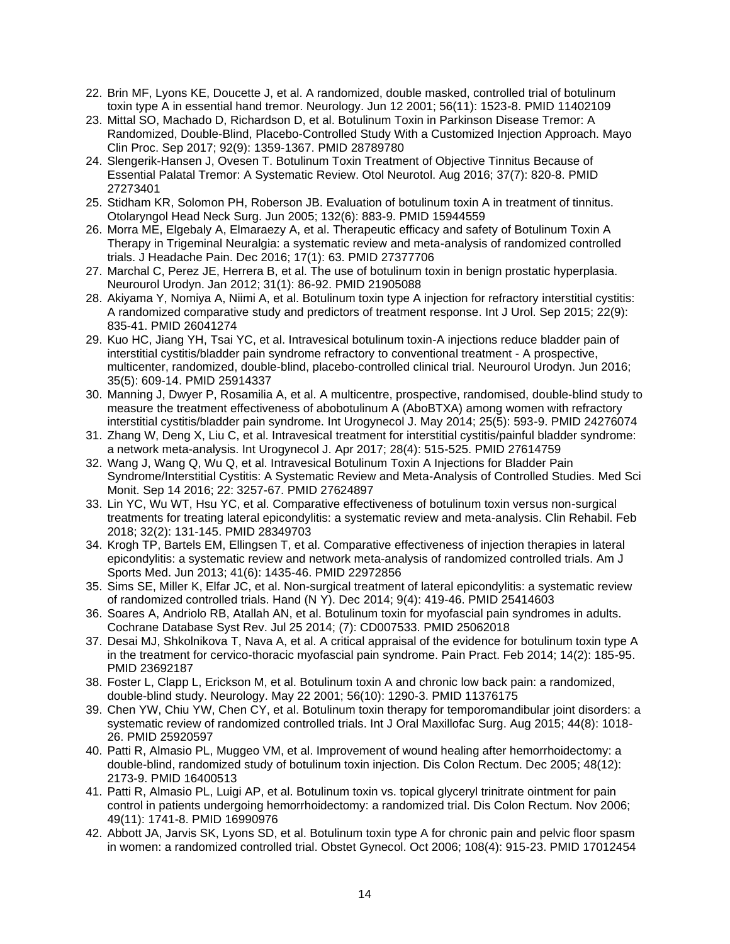- 22. Brin MF, Lyons KE, Doucette J, et al. A randomized, double masked, controlled trial of botulinum toxin type A in essential hand tremor. Neurology. Jun 12 2001; 56(11): 1523-8. PMID 11402109
- 23. Mittal SO, Machado D, Richardson D, et al. Botulinum Toxin in Parkinson Disease Tremor: A Randomized, Double-Blind, Placebo-Controlled Study With a Customized Injection Approach. Mayo Clin Proc. Sep 2017; 92(9): 1359-1367. PMID 28789780
- 24. Slengerik-Hansen J, Ovesen T. Botulinum Toxin Treatment of Objective Tinnitus Because of Essential Palatal Tremor: A Systematic Review. Otol Neurotol. Aug 2016; 37(7): 820-8. PMID 27273401
- 25. Stidham KR, Solomon PH, Roberson JB. Evaluation of botulinum toxin A in treatment of tinnitus. Otolaryngol Head Neck Surg. Jun 2005; 132(6): 883-9. PMID 15944559
- 26. Morra ME, Elgebaly A, Elmaraezy A, et al. Therapeutic efficacy and safety of Botulinum Toxin A Therapy in Trigeminal Neuralgia: a systematic review and meta-analysis of randomized controlled trials. J Headache Pain. Dec 2016; 17(1): 63. PMID 27377706
- 27. Marchal C, Perez JE, Herrera B, et al. The use of botulinum toxin in benign prostatic hyperplasia. Neurourol Urodyn. Jan 2012; 31(1): 86-92. PMID 21905088
- 28. Akiyama Y, Nomiya A, Niimi A, et al. Botulinum toxin type A injection for refractory interstitial cystitis: A randomized comparative study and predictors of treatment response. Int J Urol. Sep 2015; 22(9): 835-41. PMID 26041274
- 29. Kuo HC, Jiang YH, Tsai YC, et al. Intravesical botulinum toxin-A injections reduce bladder pain of interstitial cystitis/bladder pain syndrome refractory to conventional treatment - A prospective, multicenter, randomized, double-blind, placebo-controlled clinical trial. Neurourol Urodyn. Jun 2016; 35(5): 609-14. PMID 25914337
- 30. Manning J, Dwyer P, Rosamilia A, et al. A multicentre, prospective, randomised, double-blind study to measure the treatment effectiveness of abobotulinum A (AboBTXA) among women with refractory interstitial cystitis/bladder pain syndrome. Int Urogynecol J. May 2014; 25(5): 593-9. PMID 24276074
- 31. Zhang W, Deng X, Liu C, et al. Intravesical treatment for interstitial cystitis/painful bladder syndrome: a network meta-analysis. Int Urogynecol J. Apr 2017; 28(4): 515-525. PMID 27614759
- 32. Wang J, Wang Q, Wu Q, et al. Intravesical Botulinum Toxin A Injections for Bladder Pain Syndrome/Interstitial Cystitis: A Systematic Review and Meta-Analysis of Controlled Studies. Med Sci Monit. Sep 14 2016; 22: 3257-67. PMID 27624897
- 33. Lin YC, Wu WT, Hsu YC, et al. Comparative effectiveness of botulinum toxin versus non-surgical treatments for treating lateral epicondylitis: a systematic review and meta-analysis. Clin Rehabil. Feb 2018; 32(2): 131-145. PMID 28349703
- 34. Krogh TP, Bartels EM, Ellingsen T, et al. Comparative effectiveness of injection therapies in lateral epicondylitis: a systematic review and network meta-analysis of randomized controlled trials. Am J Sports Med. Jun 2013; 41(6): 1435-46. PMID 22972856
- 35. Sims SE, Miller K, Elfar JC, et al. Non-surgical treatment of lateral epicondylitis: a systematic review of randomized controlled trials. Hand (N Y). Dec 2014; 9(4): 419-46. PMID 25414603
- 36. Soares A, Andriolo RB, Atallah AN, et al. Botulinum toxin for myofascial pain syndromes in adults. Cochrane Database Syst Rev. Jul 25 2014; (7): CD007533. PMID 25062018
- 37. Desai MJ, Shkolnikova T, Nava A, et al. A critical appraisal of the evidence for botulinum toxin type A in the treatment for cervico-thoracic myofascial pain syndrome. Pain Pract. Feb 2014; 14(2): 185-95. PMID 23692187
- 38. Foster L, Clapp L, Erickson M, et al. Botulinum toxin A and chronic low back pain: a randomized, double-blind study. Neurology. May 22 2001; 56(10): 1290-3. PMID 11376175
- 39. Chen YW, Chiu YW, Chen CY, et al. Botulinum toxin therapy for temporomandibular joint disorders: a systematic review of randomized controlled trials. Int J Oral Maxillofac Surg. Aug 2015; 44(8): 1018- 26. PMID 25920597
- 40. Patti R, Almasio PL, Muggeo VM, et al. Improvement of wound healing after hemorrhoidectomy: a double-blind, randomized study of botulinum toxin injection. Dis Colon Rectum. Dec 2005; 48(12): 2173-9. PMID 16400513
- 41. Patti R, Almasio PL, Luigi AP, et al. Botulinum toxin vs. topical glyceryl trinitrate ointment for pain control in patients undergoing hemorrhoidectomy: a randomized trial. Dis Colon Rectum. Nov 2006; 49(11): 1741-8. PMID 16990976
- 42. Abbott JA, Jarvis SK, Lyons SD, et al. Botulinum toxin type A for chronic pain and pelvic floor spasm in women: a randomized controlled trial. Obstet Gynecol. Oct 2006; 108(4): 915-23. PMID 17012454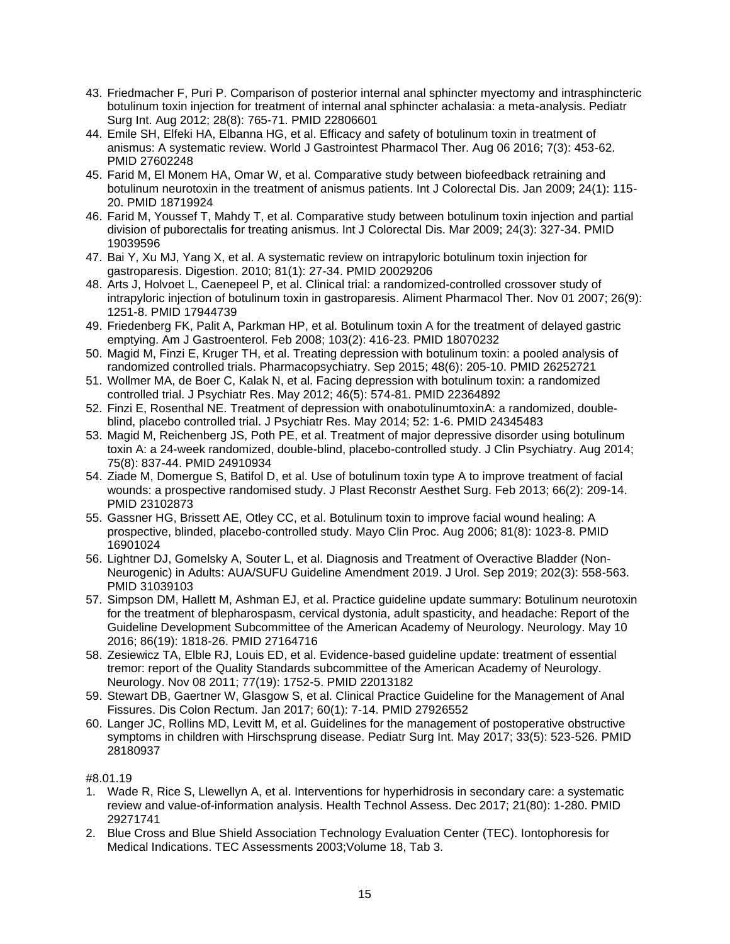- 43. Friedmacher F, Puri P. Comparison of posterior internal anal sphincter myectomy and intrasphincteric botulinum toxin injection for treatment of internal anal sphincter achalasia: a meta-analysis. Pediatr Surg Int. Aug 2012; 28(8): 765-71. PMID 22806601
- 44. Emile SH, Elfeki HA, Elbanna HG, et al. Efficacy and safety of botulinum toxin in treatment of anismus: A systematic review. World J Gastrointest Pharmacol Ther. Aug 06 2016; 7(3): 453-62. PMID 27602248
- 45. Farid M, El Monem HA, Omar W, et al. Comparative study between biofeedback retraining and botulinum neurotoxin in the treatment of anismus patients. Int J Colorectal Dis. Jan 2009; 24(1): 115- 20. PMID 18719924
- 46. Farid M, Youssef T, Mahdy T, et al. Comparative study between botulinum toxin injection and partial division of puborectalis for treating anismus. Int J Colorectal Dis. Mar 2009; 24(3): 327-34. PMID 19039596
- 47. Bai Y, Xu MJ, Yang X, et al. A systematic review on intrapyloric botulinum toxin injection for gastroparesis. Digestion. 2010; 81(1): 27-34. PMID 20029206
- 48. Arts J, Holvoet L, Caenepeel P, et al. Clinical trial: a randomized-controlled crossover study of intrapyloric injection of botulinum toxin in gastroparesis. Aliment Pharmacol Ther. Nov 01 2007; 26(9): 1251-8. PMID 17944739
- 49. Friedenberg FK, Palit A, Parkman HP, et al. Botulinum toxin A for the treatment of delayed gastric emptying. Am J Gastroenterol. Feb 2008; 103(2): 416-23. PMID 18070232
- 50. Magid M, Finzi E, Kruger TH, et al. Treating depression with botulinum toxin: a pooled analysis of randomized controlled trials. Pharmacopsychiatry. Sep 2015; 48(6): 205-10. PMID 26252721
- 51. Wollmer MA, de Boer C, Kalak N, et al. Facing depression with botulinum toxin: a randomized controlled trial. J Psychiatr Res. May 2012; 46(5): 574-81. PMID 22364892
- 52. Finzi E, Rosenthal NE. Treatment of depression with onabotulinumtoxinA: a randomized, doubleblind, placebo controlled trial. J Psychiatr Res. May 2014; 52: 1-6. PMID 24345483
- 53. Magid M, Reichenberg JS, Poth PE, et al. Treatment of major depressive disorder using botulinum toxin A: a 24-week randomized, double-blind, placebo-controlled study. J Clin Psychiatry. Aug 2014; 75(8): 837-44. PMID 24910934
- 54. Ziade M, Domergue S, Batifol D, et al. Use of botulinum toxin type A to improve treatment of facial wounds: a prospective randomised study. J Plast Reconstr Aesthet Surg. Feb 2013; 66(2): 209-14. PMID 23102873
- 55. Gassner HG, Brissett AE, Otley CC, et al. Botulinum toxin to improve facial wound healing: A prospective, blinded, placebo-controlled study. Mayo Clin Proc. Aug 2006; 81(8): 1023-8. PMID 16901024
- 56. Lightner DJ, Gomelsky A, Souter L, et al. Diagnosis and Treatment of Overactive Bladder (Non-Neurogenic) in Adults: AUA/SUFU Guideline Amendment 2019. J Urol. Sep 2019; 202(3): 558-563. PMID 31039103
- 57. Simpson DM, Hallett M, Ashman EJ, et al. Practice guideline update summary: Botulinum neurotoxin for the treatment of blepharospasm, cervical dystonia, adult spasticity, and headache: Report of the Guideline Development Subcommittee of the American Academy of Neurology. Neurology. May 10 2016; 86(19): 1818-26. PMID 27164716
- 58. Zesiewicz TA, Elble RJ, Louis ED, et al. Evidence-based guideline update: treatment of essential tremor: report of the Quality Standards subcommittee of the American Academy of Neurology. Neurology. Nov 08 2011; 77(19): 1752-5. PMID 22013182
- 59. Stewart DB, Gaertner W, Glasgow S, et al. Clinical Practice Guideline for the Management of Anal Fissures. Dis Colon Rectum. Jan 2017; 60(1): 7-14. PMID 27926552
- 60. Langer JC, Rollins MD, Levitt M, et al. Guidelines for the management of postoperative obstructive symptoms in children with Hirschsprung disease. Pediatr Surg Int. May 2017; 33(5): 523-526. PMID 28180937

#8.01.19

- 1. Wade R, Rice S, Llewellyn A, et al. Interventions for hyperhidrosis in secondary care: a systematic review and value-of-information analysis. Health Technol Assess. Dec 2017; 21(80): 1-280. PMID 29271741
- 2. Blue Cross and Blue Shield Association Technology Evaluation Center (TEC). Iontophoresis for Medical Indications. TEC Assessments 2003;Volume 18, Tab 3.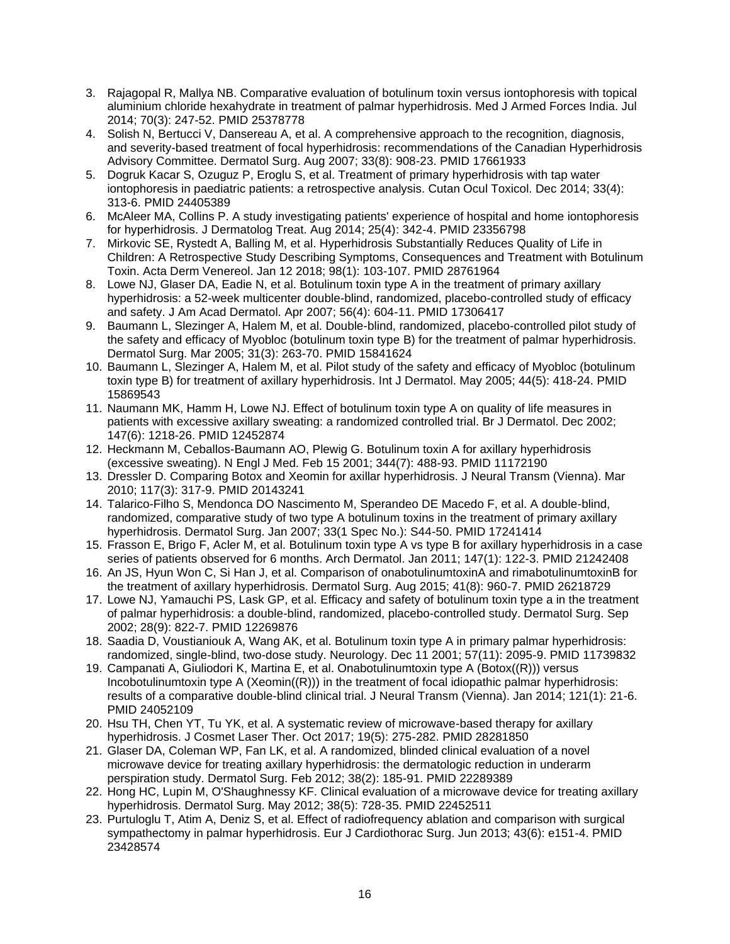- 3. Rajagopal R, Mallya NB. Comparative evaluation of botulinum toxin versus iontophoresis with topical aluminium chloride hexahydrate in treatment of palmar hyperhidrosis. Med J Armed Forces India. Jul 2014; 70(3): 247-52. PMID 25378778
- 4. Solish N, Bertucci V, Dansereau A, et al. A comprehensive approach to the recognition, diagnosis, and severity-based treatment of focal hyperhidrosis: recommendations of the Canadian Hyperhidrosis Advisory Committee. Dermatol Surg. Aug 2007; 33(8): 908-23. PMID 17661933
- 5. Dogruk Kacar S, Ozuguz P, Eroglu S, et al. Treatment of primary hyperhidrosis with tap water iontophoresis in paediatric patients: a retrospective analysis. Cutan Ocul Toxicol. Dec 2014; 33(4): 313-6. PMID 24405389
- 6. McAleer MA, Collins P. A study investigating patients' experience of hospital and home iontophoresis for hyperhidrosis. J Dermatolog Treat. Aug 2014; 25(4): 342-4. PMID 23356798
- 7. Mirkovic SE, Rystedt A, Balling M, et al. Hyperhidrosis Substantially Reduces Quality of Life in Children: A Retrospective Study Describing Symptoms, Consequences and Treatment with Botulinum Toxin. Acta Derm Venereol. Jan 12 2018; 98(1): 103-107. PMID 28761964
- 8. Lowe NJ, Glaser DA, Eadie N, et al. Botulinum toxin type A in the treatment of primary axillary hyperhidrosis: a 52-week multicenter double-blind, randomized, placebo-controlled study of efficacy and safety. J Am Acad Dermatol. Apr 2007; 56(4): 604-11. PMID 17306417
- 9. Baumann L, Slezinger A, Halem M, et al. Double-blind, randomized, placebo-controlled pilot study of the safety and efficacy of Myobloc (botulinum toxin type B) for the treatment of palmar hyperhidrosis. Dermatol Surg. Mar 2005; 31(3): 263-70. PMID 15841624
- 10. Baumann L, Slezinger A, Halem M, et al. Pilot study of the safety and efficacy of Myobloc (botulinum toxin type B) for treatment of axillary hyperhidrosis. Int J Dermatol. May 2005; 44(5): 418-24. PMID 15869543
- 11. Naumann MK, Hamm H, Lowe NJ. Effect of botulinum toxin type A on quality of life measures in patients with excessive axillary sweating: a randomized controlled trial. Br J Dermatol. Dec 2002; 147(6): 1218-26. PMID 12452874
- 12. Heckmann M, Ceballos-Baumann AO, Plewig G. Botulinum toxin A for axillary hyperhidrosis (excessive sweating). N Engl J Med. Feb 15 2001; 344(7): 488-93. PMID 11172190
- 13. Dressler D. Comparing Botox and Xeomin for axillar hyperhidrosis. J Neural Transm (Vienna). Mar 2010; 117(3): 317-9. PMID 20143241
- 14. Talarico-Filho S, Mendonca DO Nascimento M, Sperandeo DE Macedo F, et al. A double-blind, randomized, comparative study of two type A botulinum toxins in the treatment of primary axillary hyperhidrosis. Dermatol Surg. Jan 2007; 33(1 Spec No.): S44-50. PMID 17241414
- 15. Frasson E, Brigo F, Acler M, et al. Botulinum toxin type A vs type B for axillary hyperhidrosis in a case series of patients observed for 6 months. Arch Dermatol. Jan 2011; 147(1): 122-3. PMID 21242408
- 16. An JS, Hyun Won C, Si Han J, et al. Comparison of onabotulinumtoxinA and rimabotulinumtoxinB for the treatment of axillary hyperhidrosis. Dermatol Surg. Aug 2015; 41(8): 960-7. PMID 26218729
- 17. Lowe NJ, Yamauchi PS, Lask GP, et al. Efficacy and safety of botulinum toxin type a in the treatment of palmar hyperhidrosis: a double-blind, randomized, placebo-controlled study. Dermatol Surg. Sep 2002; 28(9): 822-7. PMID 12269876
- 18. Saadia D, Voustianiouk A, Wang AK, et al. Botulinum toxin type A in primary palmar hyperhidrosis: randomized, single-blind, two-dose study. Neurology. Dec 11 2001; 57(11): 2095-9. PMID 11739832
- 19. Campanati A, Giuliodori K, Martina E, et al. Onabotulinumtoxin type A (Botox((R))) versus Incobotulinumtoxin type A (Xeomin((R))) in the treatment of focal idiopathic palmar hyperhidrosis: results of a comparative double-blind clinical trial. J Neural Transm (Vienna). Jan 2014; 121(1): 21-6. PMID 24052109
- 20. Hsu TH, Chen YT, Tu YK, et al. A systematic review of microwave-based therapy for axillary hyperhidrosis. J Cosmet Laser Ther. Oct 2017; 19(5): 275-282. PMID 28281850
- 21. Glaser DA, Coleman WP, Fan LK, et al. A randomized, blinded clinical evaluation of a novel microwave device for treating axillary hyperhidrosis: the dermatologic reduction in underarm perspiration study. Dermatol Surg. Feb 2012; 38(2): 185-91. PMID 22289389
- 22. Hong HC, Lupin M, O'Shaughnessy KF. Clinical evaluation of a microwave device for treating axillary hyperhidrosis. Dermatol Surg. May 2012; 38(5): 728-35. PMID 22452511
- 23. Purtuloglu T, Atim A, Deniz S, et al. Effect of radiofrequency ablation and comparison with surgical sympathectomy in palmar hyperhidrosis. Eur J Cardiothorac Surg. Jun 2013; 43(6): e151-4. PMID 23428574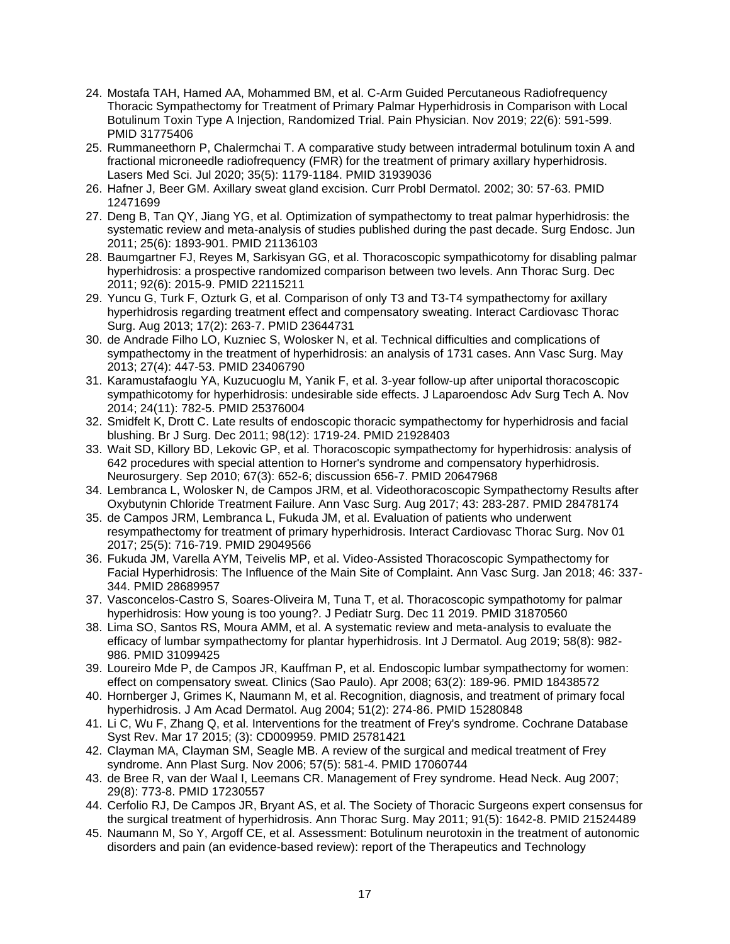- 24. Mostafa TAH, Hamed AA, Mohammed BM, et al. C-Arm Guided Percutaneous Radiofrequency Thoracic Sympathectomy for Treatment of Primary Palmar Hyperhidrosis in Comparison with Local Botulinum Toxin Type A Injection, Randomized Trial. Pain Physician. Nov 2019; 22(6): 591-599. PMID 31775406
- 25. Rummaneethorn P, Chalermchai T. A comparative study between intradermal botulinum toxin A and fractional microneedle radiofrequency (FMR) for the treatment of primary axillary hyperhidrosis. Lasers Med Sci. Jul 2020; 35(5): 1179-1184. PMID 31939036
- 26. Hafner J, Beer GM. Axillary sweat gland excision. Curr Probl Dermatol. 2002; 30: 57-63. PMID 12471699
- 27. Deng B, Tan QY, Jiang YG, et al. Optimization of sympathectomy to treat palmar hyperhidrosis: the systematic review and meta-analysis of studies published during the past decade. Surg Endosc. Jun 2011; 25(6): 1893-901. PMID 21136103
- 28. Baumgartner FJ, Reyes M, Sarkisyan GG, et al. Thoracoscopic sympathicotomy for disabling palmar hyperhidrosis: a prospective randomized comparison between two levels. Ann Thorac Surg. Dec 2011; 92(6): 2015-9. PMID 22115211
- 29. Yuncu G, Turk F, Ozturk G, et al. Comparison of only T3 and T3-T4 sympathectomy for axillary hyperhidrosis regarding treatment effect and compensatory sweating. Interact Cardiovasc Thorac Surg. Aug 2013; 17(2): 263-7. PMID 23644731
- 30. de Andrade Filho LO, Kuzniec S, Wolosker N, et al. Technical difficulties and complications of sympathectomy in the treatment of hyperhidrosis: an analysis of 1731 cases. Ann Vasc Surg. May 2013; 27(4): 447-53. PMID 23406790
- 31. Karamustafaoglu YA, Kuzucuoglu M, Yanik F, et al. 3-year follow-up after uniportal thoracoscopic sympathicotomy for hyperhidrosis: undesirable side effects. J Laparoendosc Adv Surg Tech A. Nov 2014; 24(11): 782-5. PMID 25376004
- 32. Smidfelt K, Drott C. Late results of endoscopic thoracic sympathectomy for hyperhidrosis and facial blushing. Br J Surg. Dec 2011; 98(12): 1719-24. PMID 21928403
- 33. Wait SD, Killory BD, Lekovic GP, et al. Thoracoscopic sympathectomy for hyperhidrosis: analysis of 642 procedures with special attention to Horner's syndrome and compensatory hyperhidrosis. Neurosurgery. Sep 2010; 67(3): 652-6; discussion 656-7. PMID 20647968
- 34. Lembranca L, Wolosker N, de Campos JRM, et al. Videothoracoscopic Sympathectomy Results after Oxybutynin Chloride Treatment Failure. Ann Vasc Surg. Aug 2017; 43: 283-287. PMID 28478174
- 35. de Campos JRM, Lembranca L, Fukuda JM, et al. Evaluation of patients who underwent resympathectomy for treatment of primary hyperhidrosis. Interact Cardiovasc Thorac Surg. Nov 01 2017; 25(5): 716-719. PMID 29049566
- 36. Fukuda JM, Varella AYM, Teivelis MP, et al. Video-Assisted Thoracoscopic Sympathectomy for Facial Hyperhidrosis: The Influence of the Main Site of Complaint. Ann Vasc Surg. Jan 2018; 46: 337- 344. PMID 28689957
- 37. Vasconcelos-Castro S, Soares-Oliveira M, Tuna T, et al. Thoracoscopic sympathotomy for palmar hyperhidrosis: How young is too young?. J Pediatr Surg. Dec 11 2019. PMID 31870560
- 38. Lima SO, Santos RS, Moura AMM, et al. A systematic review and meta-analysis to evaluate the efficacy of lumbar sympathectomy for plantar hyperhidrosis. Int J Dermatol. Aug 2019; 58(8): 982- 986. PMID 31099425
- 39. Loureiro Mde P, de Campos JR, Kauffman P, et al. Endoscopic lumbar sympathectomy for women: effect on compensatory sweat. Clinics (Sao Paulo). Apr 2008; 63(2): 189-96. PMID 18438572
- 40. Hornberger J, Grimes K, Naumann M, et al. Recognition, diagnosis, and treatment of primary focal hyperhidrosis. J Am Acad Dermatol. Aug 2004; 51(2): 274-86. PMID 15280848
- 41. Li C, Wu F, Zhang Q, et al. Interventions for the treatment of Frey's syndrome. Cochrane Database Syst Rev. Mar 17 2015; (3): CD009959. PMID 25781421
- 42. Clayman MA, Clayman SM, Seagle MB. A review of the surgical and medical treatment of Frey syndrome. Ann Plast Surg. Nov 2006; 57(5): 581-4. PMID 17060744
- 43. de Bree R, van der Waal I, Leemans CR. Management of Frey syndrome. Head Neck. Aug 2007; 29(8): 773-8. PMID 17230557
- 44. Cerfolio RJ, De Campos JR, Bryant AS, et al. The Society of Thoracic Surgeons expert consensus for the surgical treatment of hyperhidrosis. Ann Thorac Surg. May 2011; 91(5): 1642-8. PMID 21524489
- 45. Naumann M, So Y, Argoff CE, et al. Assessment: Botulinum neurotoxin in the treatment of autonomic disorders and pain (an evidence-based review): report of the Therapeutics and Technology